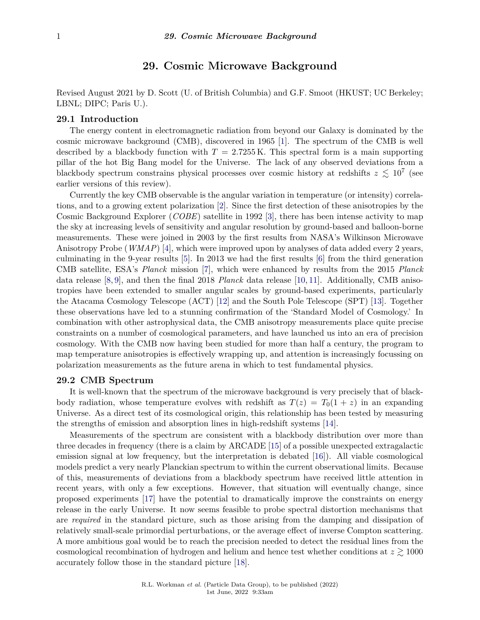# **29. Cosmic Microwave Background**

Revised August 2021 by D. Scott (U. of British Columbia) and G.F. Smoot (HKUST; UC Berkeley; LBNL; DIPC; Paris U.).

#### **29.1 Introduction**

The energy content in electromagnetic radiation from beyond our Galaxy is dominated by the cosmic microwave background (CMB), discovered in 1965 [\[1\]](#page-19-0). The spectrum of the CMB is well described by a blackbody function with  $T = 2.7255 \text{ K}$ . This spectral form is a main supporting pillar of the hot Big Bang model for the Universe. The lack of any observed deviations from a blackbody spectrum constrains physical processes over cosmic history at redshifts  $z \lesssim 10^7$  (see earlier versions of this review).

Currently the key CMB observable is the angular variation in temperature (or intensity) correlations, and to a growing extent polarization [\[2\]](#page-19-1). Since the first detection of these anisotropies by the Cosmic Background Explorer (*COBE*) satellite in 1992 [\[3\]](#page-19-2), there has been intense activity to map the sky at increasing levels of sensitivity and angular resolution by ground-based and balloon-borne measurements. These were joined in 2003 by the first results from NASA's Wilkinson Microwave Anisotropy Probe (*WMAP*) [\[4\]](#page-19-3), which were improved upon by analyses of data added every 2 years, culminating in the 9-year results [\[5\]](#page-19-4). In 2013 we had the first results [\[6\]](#page-20-0) from the third generation CMB satellite, ESA's *Planck* mission [\[7\]](#page-20-1), which were enhanced by results from the 2015 *Planck* data release [\[8,](#page-20-2) [9\]](#page-20-3), and then the final 2018 *Planck* data release [\[10,](#page-20-4) [11\]](#page-20-5). Additionally, CMB anisotropies have been extended to smaller angular scales by ground-based experiments, particularly the Atacama Cosmology Telescope (ACT) [\[12\]](#page-20-6) and the South Pole Telescope (SPT) [\[13\]](#page-20-7). Together these observations have led to a stunning confirmation of the 'Standard Model of Cosmology.' In combination with other astrophysical data, the CMB anisotropy measurements place quite precise constraints on a number of cosmological parameters, and have launched us into an era of precision cosmology. With the CMB now having been studied for more than half a century, the program to map temperature anisotropies is effectively wrapping up, and attention is increasingly focussing on polarization measurements as the future arena in which to test fundamental physics.

#### **29.2 CMB Spectrum**

It is well-known that the spectrum of the microwave background is very precisely that of blackbody radiation, whose temperature evolves with redshift as  $T(z) = T_0(1 + z)$  in an expanding Universe. As a direct test of its cosmological origin, this relationship has been tested by measuring the strengths of emission and absorption lines in high-redshift systems [\[14\]](#page-20-8).

Measurements of the spectrum are consistent with a blackbody distribution over more than three decades in frequency (there is a claim by ARCADE [\[15\]](#page-20-9) of a possible unexpected extragalactic emission signal at low frequency, but the interpretation is debated [\[16\]](#page-20-10)). All viable cosmological models predict a very nearly Planckian spectrum to within the current observational limits. Because of this, measurements of deviations from a blackbody spectrum have received little attention in recent years, with only a few exceptions. However, that situation will eventually change, since proposed experiments [\[17\]](#page-20-11) have the potential to dramatically improve the constraints on energy release in the early Universe. It now seems feasible to probe spectral distortion mechanisms that are *required* in the standard picture, such as those arising from the damping and dissipation of relatively small-scale primordial perturbations, or the average effect of inverse Compton scattering. A more ambitious goal would be to reach the precision needed to detect the residual lines from the cosmological recombination of hydrogen and helium and hence test whether conditions at  $z \gtrsim 1000$ accurately follow those in the standard picture [\[18\]](#page-20-12).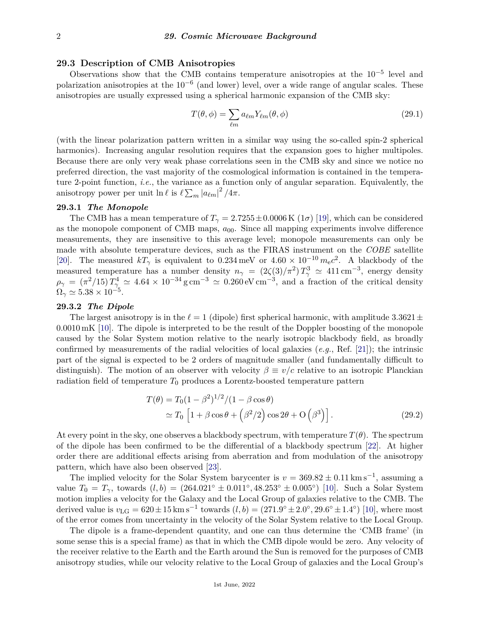## **29.3 Description of CMB Anisotropies**

Observations show that the CMB contains temperature anisotropies at the  $10^{-5}$  level and polarization anisotropies at the  $10^{-6}$  (and lower) level, over a wide range of angular scales. These anisotropies are usually expressed using a spherical harmonic expansion of the CMB sky:

$$
T(\theta, \phi) = \sum_{\ell m} a_{\ell m} Y_{\ell m}(\theta, \phi)
$$
\n(29.1)

(with the linear polarization pattern written in a similar way using the so-called spin-2 spherical harmonics). Increasing angular resolution requires that the expansion goes to higher multipoles. Because there are only very weak phase correlations seen in the CMB sky and since we notice no preferred direction, the vast majority of the cosmological information is contained in the temperature 2-point function, *i.e.*, the variance as a function only of angular separation. Equivalently, the anisotropy power per unit  $\ln \ell$  is  $\ell \sum_{m} |a_{\ell m}|^2 / 4\pi$ .

## **29.3.1** *The Monopole*

The CMB has a mean temperature of  $T<sub>\gamma</sub> = 2.7255 \pm 0.0006 \text{ K } (1\sigma)$  [\[19\]](#page-20-13), which can be considered as the monopole component of CMB maps, *a*00. Since all mapping experiments involve difference measurements, they are insensitive to this average level; monopole measurements can only be made with absolute temperature devices, such as the FIRAS instrument on the *COBE* satellite [\[20\]](#page-20-14). The measured  $kT_{\gamma}$  is equivalent to 0.234 meV or  $4.60 \times 10^{-10}$   $m_{\rm e}c^2$ . A blackbody of the measured temperature has a number density  $n_{\gamma} = (2\zeta(3)/\pi^2) T_{\gamma}^3 \simeq 411 \text{ cm}^{-3}$ , energy density  $\rho_{\gamma} = (\pi^2/15) T_{\gamma}^4 \simeq 4.64 \times 10^{-34} \text{ g cm}^{-3} \simeq 0.260 \text{ eV cm}^{-3}$ , and a fraction of the critical density  $\Omega_\gamma \simeq 5.38 \times 10^{-5}.$ 

## **29.3.2** *The Dipole*

The largest anisotropy is in the  $\ell = 1$  (dipole) first spherical harmonic, with amplitude 3.3621 $\pm$ 0*.*0010 mK [\[10\]](#page-20-4). The dipole is interpreted to be the result of the Doppler boosting of the monopole caused by the Solar System motion relative to the nearly isotropic blackbody field, as broadly confirmed by measurements of the radial velocities of local galaxies (*e.g.*, Ref. [\[21\]](#page-20-15)); the intrinsic part of the signal is expected to be 2 orders of magnitude smaller (and fundamentally difficult to distinguish). The motion of an observer with velocity  $\beta \equiv v/c$  relative to an isotropic Planckian radiation field of temperature  $T_0$  produces a Lorentz-boosted temperature pattern

$$
T(\theta) = T_0 (1 - \beta^2)^{1/2} / (1 - \beta \cos \theta)
$$
  
\n
$$
\simeq T_0 \left[ 1 + \beta \cos \theta + \left( \beta^2 / 2 \right) \cos 2\theta + O \left( \beta^3 \right) \right].
$$
 (29.2)

At every point in the sky, one observes a blackbody spectrum, with temperature  $T(\theta)$ . The spectrum of the dipole has been confirmed to be the differential of a blackbody spectrum [\[22\]](#page-20-16). At higher order there are additional effects arising from aberration and from modulation of the anisotropy pattern, which have also been observed [\[23\]](#page-20-17).

The implied velocity for the Solar System barycenter is  $v = 369.82 \pm 0.11 \,\mathrm{km \, s^{-1}}$ , assuming a value  $T_0 = T_\gamma$ , towards  $(l, b) = (264.021° \pm 0.011°, 48.253° \pm 0.005°)$  [\[10\]](#page-20-4). Such a Solar System motion implies a velocity for the Galaxy and the Local Group of galaxies relative to the CMB. The derived value is  $v_{\text{LG}} = 620 \pm 15 \text{ km s}^{-1}$  towards  $(l, b) = (271.9^{\circ} \pm 2.0^{\circ}, 29.6^{\circ} \pm 1.4^{\circ})$  [\[10\]](#page-20-4), where most of the error comes from uncertainty in the velocity of the Solar System relative to the Local Group.

The dipole is a frame-dependent quantity, and one can thus determine the 'CMB frame' (in some sense this is a special frame) as that in which the CMB dipole would be zero. Any velocity of the receiver relative to the Earth and the Earth around the Sun is removed for the purposes of CMB anisotropy studies, while our velocity relative to the Local Group of galaxies and the Local Group's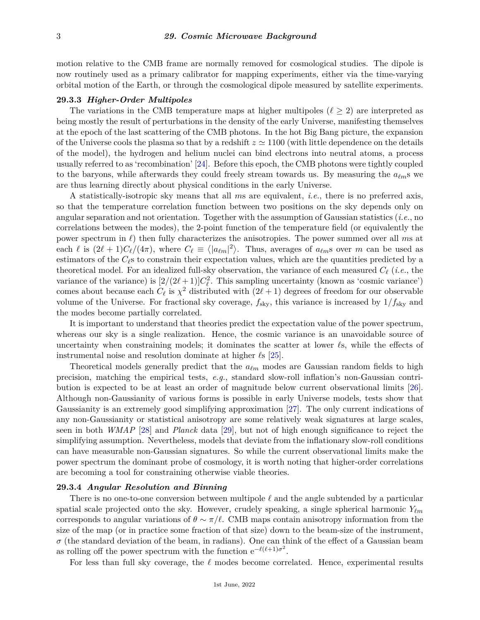motion relative to the CMB frame are normally removed for cosmological studies. The dipole is now routinely used as a primary calibrator for mapping experiments, either via the time-varying orbital motion of the Earth, or through the cosmological dipole measured by satellite experiments.

#### **29.3.3** *Higher-Order Multipoles*

The variations in the CMB temperature maps at higher multipoles ( $\ell \geq 2$ ) are interpreted as being mostly the result of perturbations in the density of the early Universe, manifesting themselves at the epoch of the last scattering of the CMB photons. In the hot Big Bang picture, the expansion of the Universe cools the plasma so that by a redshift  $z \approx 1100$  (with little dependence on the details of the model), the hydrogen and helium nuclei can bind electrons into neutral atoms, a process usually referred to as 'recombination' [\[24\]](#page-20-18). Before this epoch, the CMB photons were tightly coupled to the baryons, while afterwards they could freely stream towards us. By measuring the  $a_{\ell m}$ s we are thus learning directly about physical conditions in the early Universe.

A statistically-isotropic sky means that all *m*s are equivalent, *i.e.*, there is no preferred axis, so that the temperature correlation function between two positions on the sky depends only on angular separation and not orientation. Together with the assumption of Gaussian statistics (*i.e.*, no correlations between the modes), the 2-point function of the temperature field (or equivalently the power spectrum in  $\ell$ ) then fully characterizes the anisotropies. The power summed over all *ms* at each  $\ell$  is  $(2\ell + 1)C_{\ell}/(4\pi)$ , where  $C_{\ell} \equiv \langle |a_{\ell m}|^2 \rangle$ . Thus, averages of  $a_{\ell m}$ s over *m* can be used as estimators of the  $C_{\ell}$ s to constrain their expectation values, which are the quantities predicted by a theoretical model. For an idealized full-sky observation, the variance of each measured  $C_{\ell}$  (*i.e.*, the variance of the variance) is  $[2/(2\ell+1)]C_{\ell}^2$ . This sampling uncertainty (known as 'cosmic variance') comes about because each  $C_{\ell}$  is  $\chi^2$  distributed with  $(2\ell + 1)$  degrees of freedom for our observable volume of the Universe. For fractional sky coverage,  $f_{\rm sky}$ , this variance is increased by  $1/f_{\rm sky}$  and the modes become partially correlated.

It is important to understand that theories predict the expectation value of the power spectrum, whereas our sky is a single realization. Hence, the cosmic variance is an unavoidable source of uncertainty when constraining models; it dominates the scatter at lower  $\ell$ s, while the effects of instrumental noise and resolution dominate at higher  $\ell$ s [\[25\]](#page-20-19).

Theoretical models generally predict that the  $a_{\ell m}$  modes are Gaussian random fields to high precision, matching the empirical tests, *e.g.*, standard slow-roll inflation's non-Gaussian contribution is expected to be at least an order of magnitude below current observational limits [\[26\]](#page-20-20). Although non-Gaussianity of various forms is possible in early Universe models, tests show that Gaussianity is an extremely good simplifying approximation [\[27\]](#page-20-21). The only current indications of any non-Gaussianity or statistical anisotropy are some relatively weak signatures at large scales, seen in both *WMAP* [\[28\]](#page-20-22) and *Planck* data [\[29\]](#page-20-23), but not of high enough significance to reject the simplifying assumption. Nevertheless, models that deviate from the inflationary slow-roll conditions can have measurable non-Gaussian signatures. So while the current observational limits make the power spectrum the dominant probe of cosmology, it is worth noting that higher-order correlations are becoming a tool for constraining otherwise viable theories.

#### **29.3.4** *Angular Resolution and Binning*

There is no one-to-one conversion between multipole  $\ell$  and the angle subtended by a particular spatial scale projected onto the sky. However, crudely speaking, a single spherical harmonic  $Y_{\ell m}$ corresponds to angular variations of  $\theta \sim \pi/\ell$ . CMB maps contain anisotropy information from the size of the map (or in practice some fraction of that size) down to the beam-size of the instrument,  $\sigma$  (the standard deviation of the beam, in radians). One can think of the effect of a Gaussian beam as rolling off the power spectrum with the function  $e^{-\ell(\ell+1)\sigma^2}$ .

For less than full sky coverage, the  $\ell$  modes become correlated. Hence, experimental results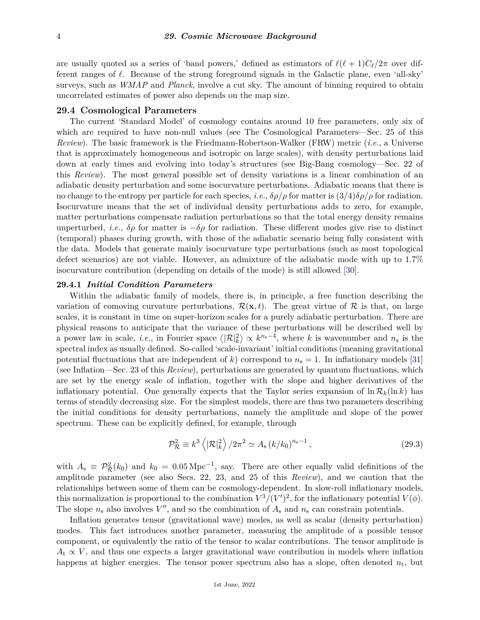are usually quoted as a series of 'band powers,' defined as estimators of  $\ell(\ell + 1)C_{\ell}/2\pi$  over different ranges of  $\ell$ . Because of the strong foreground signals in the Galactic plane, even 'all-sky' surveys, such as *WMAP* and *Planck*, involve a cut sky. The amount of binning required to obtain uncorrelated estimates of power also depends on the map size.

#### **29.4 Cosmological Parameters**

The current 'Standard Model' of cosmology contains around 10 free parameters, only six of which are required to have non-null values (see The Cosmological Parameters—Sec. 25 of this *Review*). The basic framework is the Friedmann-Robertson-Walker (FRW) metric (*i.e.*, a Universe that is approximately homogeneous and isotropic on large scales), with density perturbations laid down at early times and evolving into today's structures (see Big-Bang cosmology—Sec. 22 of this *Review*). The most general possible set of density variations is a linear combination of an adiabatic density perturbation and some isocurvature perturbations. Adiabatic means that there is no change to the entropy per particle for each species, *i.e.*,  $\delta \rho / \rho$  for matter is  $\frac{3}{4} \delta \rho / \rho$  for radiation. Isocurvature means that the set of individual density perturbations adds to zero, for example, matter perturbations compensate radiation perturbations so that the total energy density remains unperturbed, *i.e.*,  $\delta \rho$  for matter is  $-\delta \rho$  for radiation. These different modes give rise to distinct (temporal) phases during growth, with those of the adiabatic scenario being fully consistent with the data. Models that generate mainly isocurvature type perturbations (such as most topological defect scenarios) are not viable. However, an admixture of the adiabatic mode with up to 1.7% isocurvature contribution (depending on details of the mode) is still allowed [\[30\]](#page-20-24).

## **29.4.1** *Initial Condition Parameters*

Within the adiabatic family of models, there is, in principle, a free function describing the variation of comoving curvature perturbations,  $\mathcal{R}(\mathbf{x},t)$ . The great virtue of  $\mathcal{R}$  is that, on large scales, it is constant in time on super-horizon scales for a purely adiabatic perturbation. There are physical reasons to anticipate that the variance of these perturbations will be described well by a power law in scale, *i.e.*, in Fourier space  $\langle |\mathcal{R}|_k^2 \rangle \propto k^{n_s-4}$ , where *k* is wavenumber and  $n_s$  is the spectral index as usually defined. So-called 'scale-invariant' initial conditions (meaning gravitational potential fluctuations that are independent of  $k$ ) correspond to  $n_s = 1$ . In inflationary models [\[31\]](#page-20-25) (see Inflation—Sec. 23 of this *Review*), perturbations are generated by quantum fluctuations, which are set by the energy scale of inflation, together with the slope and higher derivatives of the inflationary potential. One generally expects that the Taylor series expansion of  $\ln R_k(\ln k)$  has terms of steadily decreasing size. For the simplest models, there are thus two parameters describing the initial conditions for density perturbations, namely the amplitude and slope of the power spectrum. These can be explicitly defined, for example, through

$$
\mathcal{P}_{\mathcal{R}}^2 \equiv k^3 \left\langle |\mathcal{R}|_k^2 \right\rangle / 2\pi^2 \simeq A_s \left( k / k_0 \right)^{n_s - 1},\tag{29.3}
$$

with  $A_s \equiv \mathcal{P}^2_{\mathcal{R}}(k_0)$  and  $k_0 = 0.05 \,\text{Mpc}^{-1}$ , say. There are other equally valid definitions of the amplitude parameter (see also Secs. 22, 23, and 25 of this *Review*), and we caution that the relationships between some of them can be cosmology-dependent. In slow-roll inflationary models, this normalization is proportional to the combination  $V^3/(V')^2$ , for the inflationary potential  $V(\phi)$ . The slope  $n_s$  also involves  $V''$ , and so the combination of  $A_s$  and  $n_s$  can constrain potentials.

Inflation generates tensor (gravitational wave) modes, as well as scalar (density perturbation) modes. This fact introduces another parameter, measuring the amplitude of a possible tensor component, or equivalently the ratio of the tensor to scalar contributions. The tensor amplitude is  $A_t \propto V$ , and thus one expects a larger gravitational wave contribution in models where inflation happens at higher energies. The tensor power spectrum also has a slope, often denoted  $n_t$ , but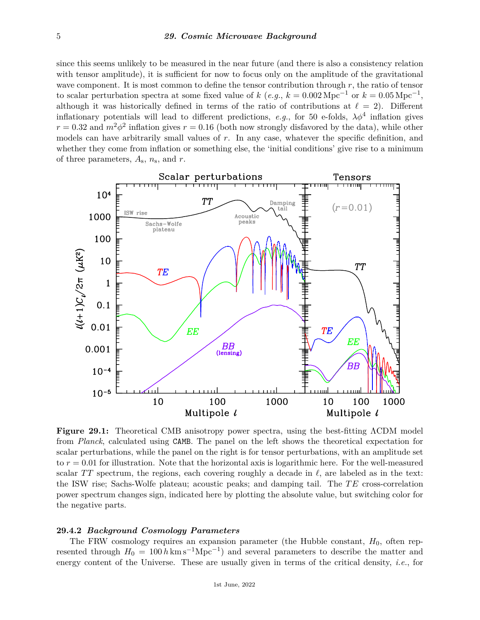since this seems unlikely to be measured in the near future (and there is also a consistency relation with tensor amplitude), it is sufficient for now to focus only on the amplitude of the gravitational wave component. It is most common to define the tensor contribution through *r*, the ratio of tensor to scalar perturbation spectra at some fixed value of  $k$  (*e.g.*,  $k = 0.002 \text{ Mpc}^{-1}$  or  $k = 0.05 \text{ Mpc}^{-1}$ , although it was historically defined in terms of the ratio of contributions at  $\ell = 2$ ). Different inflationary potentials will lead to different predictions, *e.g.*, for 50 e-folds,  $\lambda \phi^4$  inflation gives  $r = 0.32$  and  $m^2\phi^2$  inflation gives  $r = 0.16$  (both now strongly disfavored by the data), while other models can have arbitrarily small values of *r*. In any case, whatever the specific definition, and whether they come from inflation or something else, the 'initial conditions' give rise to a minimum of three parameters, *A*s, *n*s, and *r*.



**Figure 29.1:** Theoretical CMB anisotropy power spectra, using the best-fitting ΛCDM model from *Planck*, calculated using CAMB. The panel on the left shows the theoretical expectation for scalar perturbations, while the panel on the right is for tensor perturbations, with an amplitude set to *r* = 0*.*01 for illustration. Note that the horizontal axis is logarithmic here. For the well-measured scalar *TT* spectrum, the regions, each covering roughly a decade in  $\ell$ , are labeled as in the text: the ISW rise; Sachs-Wolfe plateau; acoustic peaks; and damping tail. The *T E* cross-correlation power spectrum changes sign, indicated here by plotting the absolute value, but switching color for the negative parts.

## **29.4.2** *Background Cosmology Parameters*

The FRW cosmology requires an expansion parameter (the Hubble constant,  $H_0$ , often represented through  $H_0 = 100 h \text{ km s}^{-1} \text{Mpc}^{-1}$  and several parameters to describe the matter and energy content of the Universe. These are usually given in terms of the critical density, *i.e.*, for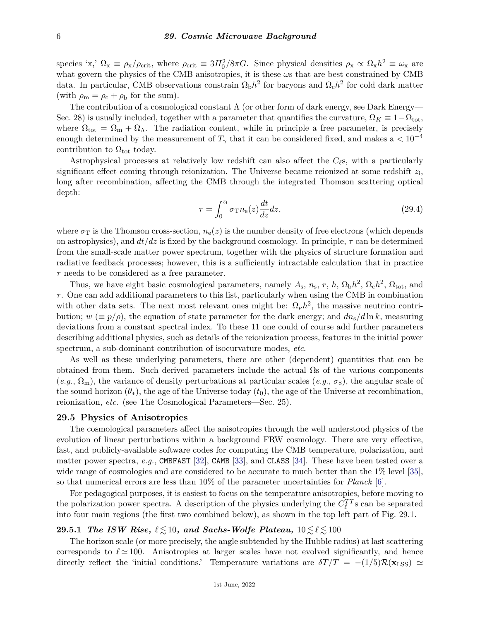species 'x,'  $\Omega_x \equiv \rho_x/\rho_{\rm crit}$ , where  $\rho_{\rm crit} \equiv 3H_0^2/8\pi G$ . Since physical densities  $\rho_x \propto \Omega_x h^2 \equiv \omega_x$  are what govern the physics of the CMB anisotropies, it is these *ω*s that are best constrained by CMB data. In particular, CMB observations constrain  $\Omega_{\rm b}h^2$  for baryons and  $\Omega_{\rm c}h^2$  for cold dark matter (with  $\rho_{\rm m} = \rho_{\rm c} + \rho_{\rm b}$  for the sum).

The contribution of a cosmological constant  $\Lambda$  (or other form of dark energy, see Dark Energy— Sec. 28) is usually included, together with a parameter that quantifies the curvature,  $\Omega_K \equiv 1 - \Omega_{tot}$ , where  $\Omega_{\text{tot}} = \Omega_{\text{m}} + \Omega_{\Lambda}$ . The radiation content, while in principle a free parameter, is precisely enough determined by the measurement of  $T_{\gamma}$  that it can be considered fixed, and makes a  $< 10^{-4}$ contribution to  $\Omega_{\text{tot}}$  today.

Astrophysical processes at relatively low redshift can also affect the  $C_{\ell}$ s, with a particularly significant effect coming through reionization. The Universe became reionized at some redshift *z*<sup>i</sup> , long after recombination, affecting the CMB through the integrated Thomson scattering optical depth:

$$
\tau = \int_0^{z_i} \sigma_{\rm T} n_{\rm e}(z) \frac{dt}{dz} dz,
$$
\n(29.4)

where  $\sigma_T$  is the Thomson cross-section,  $n_e(z)$  is the number density of free electrons (which depends on astrophysics), and  $dt/dz$  is fixed by the background cosmology. In principle,  $\tau$  can be determined from the small-scale matter power spectrum, together with the physics of structure formation and radiative feedback processes; however, this is a sufficiently intractable calculation that in practice *τ* needs to be considered as a free parameter.

Thus, we have eight basic cosmological parameters, namely  $A_s$ ,  $n_s$ ,  $r$ ,  $h$ ,  $\Omega_b h^2$ ,  $\Omega_c h^2$ ,  $\Omega_{\text{tot}}$ , and *τ* . One can add additional parameters to this list, particularly when using the CMB in combination with other data sets. The next most relevant ones might be:  $\Omega_{\nu}h^2$ , the massive neutrino contribution;  $w \ (\equiv p/\rho)$ , the equation of state parameter for the dark energy; and  $dn_s/d\ln k$ , measuring deviations from a constant spectral index. To these 11 one could of course add further parameters describing additional physics, such as details of the reionization process, features in the initial power spectrum, a sub-dominant contribution of isocurvature modes, *etc*.

As well as these underlying parameters, there are other (dependent) quantities that can be obtained from them. Such derived parameters include the actual  $\Omega$ s of the various components  $(e.g., \Omega_m)$ , the variance of density perturbations at particular scales  $(e.g., \sigma_8)$ , the angular scale of the sound horizon  $(\theta_*)$ , the age of the Universe today  $(t_0)$ , the age of the Universe at recombination, reionization, *etc.* (see The Cosmological Parameters—Sec. 25).

## **29.5 Physics of Anisotropies**

The cosmological parameters affect the anisotropies through the well understood physics of the evolution of linear perturbations within a background FRW cosmology. There are very effective, fast, and publicly-available software codes for computing the CMB temperature, polarization, and matter power spectra, *e.g.*, CMBFAST [\[32\]](#page-20-26), CAMB [\[33\]](#page-20-27), and CLASS [\[34\]](#page-20-28). These have been tested over a wide range of cosmologies and are considered to be accurate to much better than the 1\% level [\[35\]](#page-20-29), so that numerical errors are less than 10% of the parameter uncertainties for *Planck* [\[6\]](#page-20-0).

For pedagogical purposes, it is easiest to focus on the temperature anisotropies, before moving to the polarization power spectra. A description of the physics underlying the  $C_{\ell}^{TT}$  s can be separated into four main regions (the first two combined below), as shown in the top left part of Fig. 29.1.

## **29.5.1** *The ISW Rise,*  $\ell \leq 10$ *, and Sachs-Wolfe Plateau,*  $10 \leq \ell \leq 100$

The horizon scale (or more precisely, the angle subtended by the Hubble radius) at last scattering corresponds to  $\ell \approx 100$ . Anisotropies at larger scales have not evolved significantly, and hence directly reflect the 'initial conditions.' Temperature variations are  $\delta T/T = -(1/5)\mathcal{R}(\mathbf{x}_{\text{LSS}}) \simeq$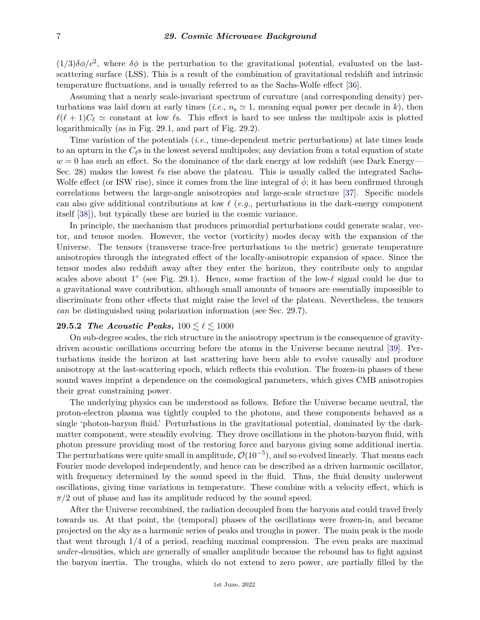$(1/3)\delta\phi/c^2$ , where  $\delta\phi$  is the perturbation to the gravitational potential, evaluated on the lastscattering surface (LSS). This is a result of the combination of gravitational redshift and intrinsic temperature fluctuations, and is usually referred to as the Sachs-Wolfe effect [\[36\]](#page-20-30).

Assuming that a nearly scale-invariant spectrum of curvature (and corresponding density) perturbations was laid down at early times (*i.e.*,  $n_s \approx 1$ , meaning equal power per decade in *k*), then  $\ell(\ell+1)C_{\ell} \simeq$  constant at low  $\ell$ s. This effect is hard to see unless the multipole axis is plotted logarithmically (as in Fig. 29.1, and part of Fig. 29.2).

Time variation of the potentials (*i.e.*, time-dependent metric perturbations) at late times leads to an upturn in the  $C_{\ell}$ s in the lowest several multipoles; any deviation from a total equation of state  $w = 0$  has such an effect. So the dominance of the dark energy at low redshift (see Dark Energy— Sec. 28) makes the lowest  $\ell$ s rise above the plateau. This is usually called the integrated Sachs-Wolfe effect (or ISW rise), since it comes from the line integral of  $\dot{\phi}$ ; it has been confirmed through correlations between the large-angle anisotropies and large-scale structure [\[37\]](#page-21-0). Specific models can also give additional contributions at low  $\ell$  (*e.g.*, perturbations in the dark-energy component itself [\[38\]](#page-21-1)), but typically these are buried in the cosmic variance.

In principle, the mechanism that produces primordial perturbations could generate scalar, vector, and tensor modes. However, the vector (vorticity) modes decay with the expansion of the Universe. The tensors (transverse trace-free perturbations to the metric) generate temperature anisotropies through the integrated effect of the locally-anisotropic expansion of space. Since the tensor modes also redshift away after they enter the horizon, they contribute only to angular scales above about  $1^{\circ}$  (see Fig. 29.1). Hence, some fraction of the low- $\ell$  signal could be due to a gravitational wave contribution, although small amounts of tensors are essentially impossible to discriminate from other effects that might raise the level of the plateau. Nevertheless, the tensors *can* be distinguished using polarization information (see Sec. 29.7).

## **29.5.2** *The Acoustic Peaks,*  $100 \le \ell \le 1000$

On sub-degree scales, the rich structure in the anisotropy spectrum is the consequence of gravitydriven acoustic oscillations occurring before the atoms in the Universe became neutral [\[39\]](#page-21-2). Perturbations inside the horizon at last scattering have been able to evolve causally and produce anisotropy at the last-scattering epoch, which reflects this evolution. The frozen-in phases of these sound waves imprint a dependence on the cosmological parameters, which gives CMB anisotropies their great constraining power.

The underlying physics can be understood as follows. Before the Universe became neutral, the proton-electron plasma was tightly coupled to the photons, and these components behaved as a single 'photon-baryon fluid.' Perturbations in the gravitational potential, dominated by the darkmatter component, were steadily evolving. They drove oscillations in the photon-baryon fluid, with photon pressure providing most of the restoring force and baryons giving some additional inertia. The perturbations were quite small in amplitude,  $\mathcal{O}(10^{-5})$ , and so evolved linearly. That means each Fourier mode developed independently, and hence can be described as a driven harmonic oscillator, with frequency determined by the sound speed in the fluid. Thus, the fluid density underwent oscillations, giving time variations in temperature. These combine with a velocity effect, which is  $\pi/2$  out of phase and has its amplitude reduced by the sound speed.

After the Universe recombined, the radiation decoupled from the baryons and could travel freely towards us. At that point, the (temporal) phases of the oscillations were frozen-in, and became projected on the sky as a harmonic series of peaks and troughs in power. The main peak is the mode that went through 1/4 of a period, reaching maximal compression. The even peaks are maximal *under*-densities, which are generally of smaller amplitude because the rebound has to fight against the baryon inertia. The troughs, which do not extend to zero power, are partially filled by the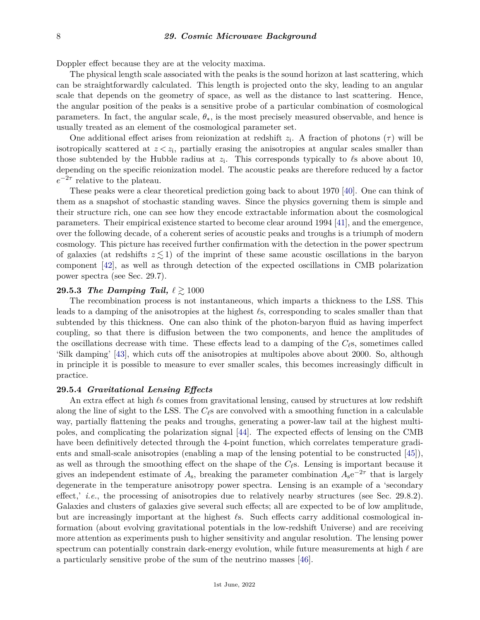Doppler effect because they are at the velocity maxima.

The physical length scale associated with the peaks is the sound horizon at last scattering, which can be straightforwardly calculated. This length is projected onto the sky, leading to an angular scale that depends on the geometry of space, as well as the distance to last scattering. Hence, the angular position of the peaks is a sensitive probe of a particular combination of cosmological parameters. In fact, the angular scale, *θ*∗, is the most precisely measured observable, and hence is usually treated as an element of the cosmological parameter set.

One additional effect arises from reionization at redshift  $z_i$ . A fraction of photons  $(\tau)$  will be isotropically scattered at  $z \, \leq z_i$ , partially erasing the anisotropies at angular scales smaller than those subtended by the Hubble radius at  $z_i$ . This corresponds typically to  $\ell$ s above about 10, depending on the specific reionization model. The acoustic peaks are therefore reduced by a factor  $e^{-2\tau}$  relative to the plateau.

These peaks were a clear theoretical prediction going back to about 1970 [\[40\]](#page-21-3). One can think of them as a snapshot of stochastic standing waves. Since the physics governing them is simple and their structure rich, one can see how they encode extractable information about the cosmological parameters. Their empirical existence started to become clear around 1994 [\[41\]](#page-21-4), and the emergence, over the following decade, of a coherent series of acoustic peaks and troughs is a triumph of modern cosmology. This picture has received further confirmation with the detection in the power spectrum of galaxies (at redshifts  $z \leq 1$ ) of the imprint of these same acoustic oscillations in the baryon component [\[42\]](#page-21-5), as well as through detection of the expected oscillations in CMB polarization power spectra (see Sec. 29.7).

### **29.5.3** *The Damping Tail,*  $\ell \geq 1000$

The recombination process is not instantaneous, which imparts a thickness to the LSS. This leads to a damping of the anisotropies at the highest *`*s, corresponding to scales smaller than that subtended by this thickness. One can also think of the photon-baryon fluid as having imperfect coupling, so that there is diffusion between the two components, and hence the amplitudes of the oscillations decrease with time. These effects lead to a damping of the  $C_{\ell}$ s, sometimes called 'Silk damping' [\[43\]](#page-21-6), which cuts off the anisotropies at multipoles above about 2000. So, although in principle it is possible to measure to ever smaller scales, this becomes increasingly difficult in practice.

#### **29.5.4** *Gravitational Lensing Effects*

An extra effect at high  $\ell$ s comes from gravitational lensing, caused by structures at low redshift along the line of sight to the LSS. The  $C_{\ell}$ s are convolved with a smoothing function in a calculable way, partially flattening the peaks and troughs, generating a power-law tail at the highest multipoles, and complicating the polarization signal [\[44\]](#page-21-7). The expected effects of lensing on the CMB have been definitively detected through the 4-point function, which correlates temperature gradients and small-scale anisotropies (enabling a map of the lensing potential to be constructed [\[45\]](#page-21-8)), as well as through the smoothing effect on the shape of the  $C_{\ell}$ s. Lensing is important because it gives an independent estimate of  $A_s$ , breaking the parameter combination  $A_s e^{-2\tau}$  that is largely degenerate in the temperature anisotropy power spectra. Lensing is an example of a 'secondary effect,' *i.e.*, the processing of anisotropies due to relatively nearby structures (see Sec. 29.8.2). Galaxies and clusters of galaxies give several such effects; all are expected to be of low amplitude, but are increasingly important at the highest  $\ell$ s. Such effects carry additional cosmological information (about evolving gravitational potentials in the low-redshift Universe) and are receiving more attention as experiments push to higher sensitivity and angular resolution. The lensing power spectrum can potentially constrain dark-energy evolution, while future measurements at high  $\ell$  are a particularly sensitive probe of the sum of the neutrino masses [\[46\]](#page-21-9).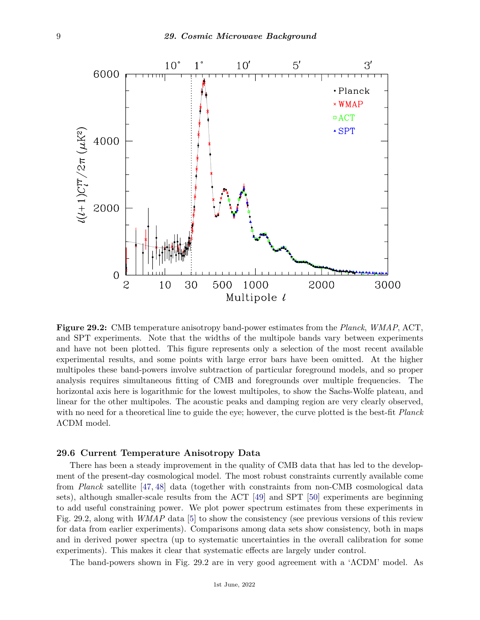

**Figure 29.2:** CMB temperature anisotropy band-power estimates from the *Planck*, *WMAP*, ACT, and SPT experiments. Note that the widths of the multipole bands vary between experiments and have not been plotted. This figure represents only a selection of the most recent available experimental results, and some points with large error bars have been omitted. At the higher multipoles these band-powers involve subtraction of particular foreground models, and so proper analysis requires simultaneous fitting of CMB and foregrounds over multiple frequencies. The horizontal axis here is logarithmic for the lowest multipoles, to show the Sachs-Wolfe plateau, and linear for the other multipoles. The acoustic peaks and damping region are very clearly observed, with no need for a theoretical line to guide the eye; however, the curve plotted is the best-fit *Planck* ΛCDM model.

## **29.6 Current Temperature Anisotropy Data**

There has been a steady improvement in the quality of CMB data that has led to the development of the present-day cosmological model. The most robust constraints currently available come from *Planck* satellite [\[47,](#page-21-10) [48\]](#page-21-11) data (together with constraints from non-CMB cosmological data sets), although smaller-scale results from the ACT [\[49\]](#page-21-12) and SPT [\[50\]](#page-21-13) experiments are beginning to add useful constraining power. We plot power spectrum estimates from these experiments in Fig. 29.2, along with *WMAP* data [\[5\]](#page-19-4) to show the consistency (see previous versions of this review for data from earlier experiments). Comparisons among data sets show consistency, both in maps and in derived power spectra (up to systematic uncertainties in the overall calibration for some experiments). This makes it clear that systematic effects are largely under control.

The band-powers shown in Fig. 29.2 are in very good agreement with a 'ΛCDM' model. As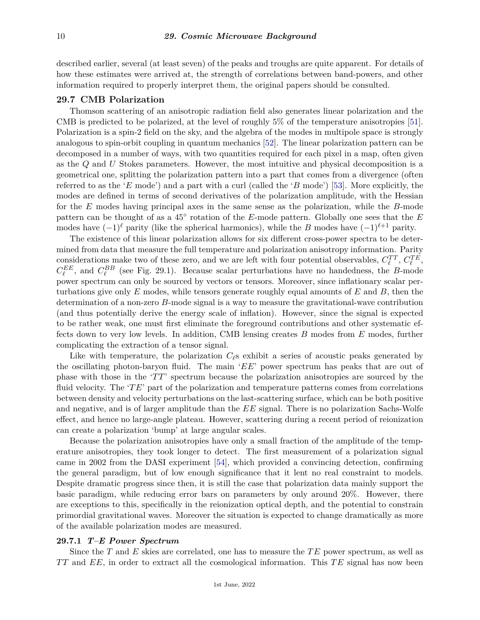described earlier, several (at least seven) of the peaks and troughs are quite apparent. For details of how these estimates were arrived at, the strength of correlations between band-powers, and other information required to properly interpret them, the original papers should be consulted.

## **29.7 CMB Polarization**

Thomson scattering of an anisotropic radiation field also generates linear polarization and the CMB is predicted to be polarized, at the level of roughly 5% of the temperature anisotropies [\[51\]](#page-21-14). Polarization is a spin-2 field on the sky, and the algebra of the modes in multipole space is strongly analogous to spin-orbit coupling in quantum mechanics [\[52\]](#page-21-15). The linear polarization pattern can be decomposed in a number of ways, with two quantities required for each pixel in a map, often given as the *Q* and *U* Stokes parameters. However, the most intuitive and physical decomposition is a geometrical one, splitting the polarization pattern into a part that comes from a divergence (often referred to as the '*E* mode') and a part with a curl (called the '*B* mode') [\[53\]](#page-21-16). More explicitly, the modes are defined in terms of second derivatives of the polarization amplitude, with the Hessian for the *E* modes having principal axes in the same sense as the polarization, while the *B*-mode pattern can be thought of as a 45<sup>°</sup> rotation of the *E*-mode pattern. Globally one sees that the *E* modes have  $(-1)^{\ell}$  parity (like the spherical harmonics), while the *B* modes have  $(-1)^{\ell+1}$  parity.

The existence of this linear polarization allows for six different cross-power spectra to be determined from data that measure the full temperature and polarization anisotropy information. Parity considerations make two of these zero, and we are left with four potential observables,  $C_{\ell}^{TT}$ ,  $C_{\ell}^{TE}$ ,  $C_{\ell}^{EE}$ , and  $C_{\ell}^{BB}$  (see Fig. 29.1). Because scalar perturbations have no handedness, the *B*-mode power spectrum can only be sourced by vectors or tensors. Moreover, since inflationary scalar perturbations give only *E* modes, while tensors generate roughly equal amounts of *E* and *B*, then the determination of a non-zero *B*-mode signal is a way to measure the gravitational-wave contribution (and thus potentially derive the energy scale of inflation). However, since the signal is expected to be rather weak, one must first eliminate the foreground contributions and other systematic effects down to very low levels. In addition, CMB lensing creates *B* modes from *E* modes, further complicating the extraction of a tensor signal.

Like with temperature, the polarization  $C_{\ell}$ s exhibit a series of acoustic peaks generated by the oscillating photon-baryon fluid. The main '*EE*' power spectrum has peaks that are out of phase with those in the '*TT*' spectrum because the polarization anisotropies are sourced by the fluid velocity. The '*T E*' part of the polarization and temperature patterns comes from correlations between density and velocity perturbations on the last-scattering surface, which can be both positive and negative, and is of larger amplitude than the *EE* signal. There is no polarization Sachs-Wolfe effect, and hence no large-angle plateau. However, scattering during a recent period of reionization can create a polarization 'bump' at large angular scales.

Because the polarization anisotropies have only a small fraction of the amplitude of the temperature anisotropies, they took longer to detect. The first measurement of a polarization signal came in 2002 from the DASI experiment [\[54\]](#page-21-17), which provided a convincing detection, confirming the general paradigm, but of low enough significance that it lent no real constraint to models. Despite dramatic progress since then, it is still the case that polarization data mainly support the basic paradigm, while reducing error bars on parameters by only around 20%. However, there are exceptions to this, specifically in the reionization optical depth, and the potential to constrain primordial gravitational waves. Moreover the situation is expected to change dramatically as more of the available polarization modes are measured.

## **29.7.1** *T–E Power Spectrum*

Since the *T* and *E* skies are correlated, one has to measure the *TE* power spectrum, as well as *T T* and *EE*, in order to extract all the cosmological information. This *T E* signal has now been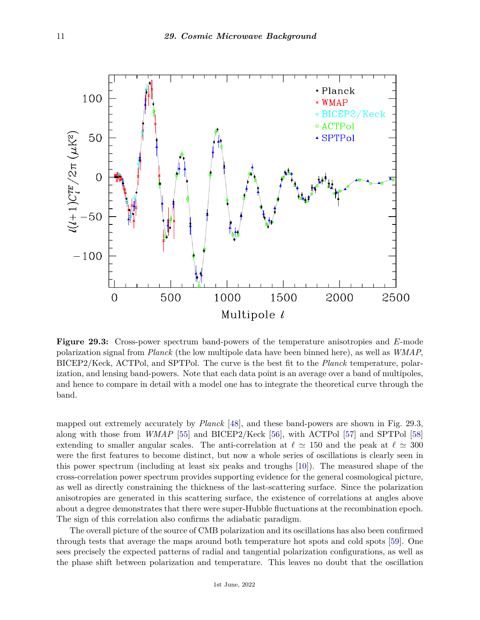

**Figure 29.3:** Cross-power spectrum band-powers of the temperature anisotropies and *E*-mode polarization signal from *Planck* (the low multipole data have been binned here), as well as *WMAP*, BICEP2/Keck, ACTPol, and SPTPol. The curve is the best fit to the *Planck* temperature, polarization, and lensing band-powers. Note that each data point is an average over a band of multipoles, and hence to compare in detail with a model one has to integrate the theoretical curve through the band.

mapped out extremely accurately by *Planck* [\[48\]](#page-21-11), and these band-powers are shown in Fig. 29.3, along with those from *WMAP* [\[55\]](#page-21-18) and BICEP2/Keck [\[56\]](#page-21-19), with ACTPol [\[57\]](#page-21-20) and SPTPol [\[58\]](#page-21-21) extending to smaller angular scales. The anti-correlation at  $\ell \approx 150$  and the peak at  $\ell \approx 300$ were the first features to become distinct, but now a whole series of oscillations is clearly seen in this power spectrum (including at least six peaks and troughs [\[10\]](#page-20-4)). The measured shape of the cross-correlation power spectrum provides supporting evidence for the general cosmological picture, as well as directly constraining the thickness of the last-scattering surface. Since the polarization anisotropies are generated in this scattering surface, the existence of correlations at angles above about a degree demonstrates that there were super-Hubble fluctuations at the recombination epoch. The sign of this correlation also confirms the adiabatic paradigm.

The overall picture of the source of CMB polarization and its oscillations has also been confirmed through tests that average the maps around both temperature hot spots and cold spots [\[59\]](#page-21-22). One sees precisely the expected patterns of radial and tangential polarization configurations, as well as the phase shift between polarization and temperature. This leaves no doubt that the oscillation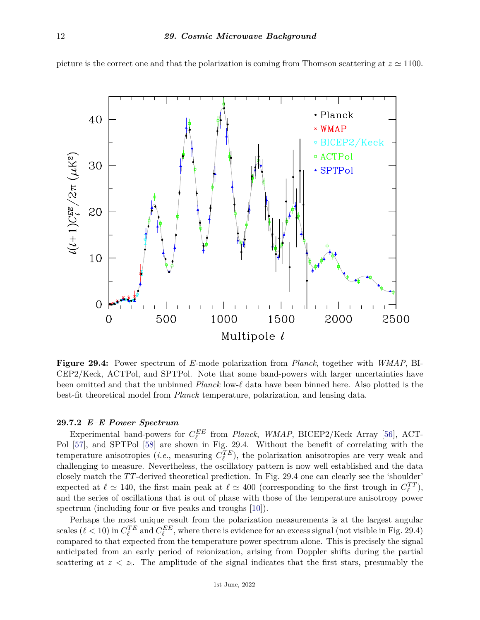

picture is the correct one and that the polarization is coming from Thomson scattering at  $z \approx 1100$ .

**Figure 29.4:** Power spectrum of *E*-mode polarization from *Planck*, together with *WMAP*, BI-CEP2/Keck, ACTPol, and SPTPol. Note that some band-powers with larger uncertainties have been omitted and that the unbinned *Planck* low- $\ell$  data have been binned here. Also plotted is the best-fit theoretical model from *Planck* temperature, polarization, and lensing data.

## **29.7.2** *E–E Power Spectrum*

Experimental band-powers for  $C_{\ell}^{EE}$  from *Planck*, WMAP, BICEP2/Keck Array [\[56\]](#page-21-19), ACT-Pol [\[57\]](#page-21-20), and SPTPol [\[58\]](#page-21-21) are shown in Fig. 29.4. Without the benefit of correlating with the temperature anisotropies (*i.e.*, measuring  $C_{\ell}^{TE}$ ), the polarization anisotropies are very weak and challenging to measure. Nevertheless, the oscillatory pattern is now well established and the data closely match the  $TT$ -derived theoretical prediction. In Fig. 29.4 one can clearly see the 'shoulder' expected at  $\ell \simeq 140$ , the first main peak at  $\ell \simeq 400$  (corresponding to the first trough in  $C_{\ell}^{TT}$ ), and the series of oscillations that is out of phase with those of the temperature anisotropy power spectrum (including four or five peaks and troughs [\[10\]](#page-20-4)).

Perhaps the most unique result from the polarization measurements is at the largest angular scales ( $\ell$  < 10) in  $C_{\ell}^{TE}$  and  $C_{\ell}^{EE}$ , where there is evidence for an excess signal (not visible in Fig. 29.4) compared to that expected from the temperature power spectrum alone. This is precisely the signal anticipated from an early period of reionization, arising from Doppler shifts during the partial scattering at  $z \, \langle z_i, \rangle$ . The amplitude of the signal indicates that the first stars, presumably the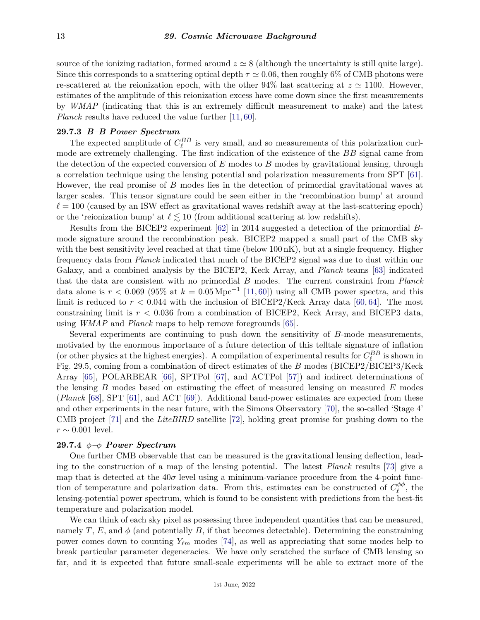source of the ionizing radiation, formed around  $z \approx 8$  (although the uncertainty is still quite large). Since this corresponds to a scattering optical depth  $\tau \simeq 0.06$ , then roughly 6% of CMB photons were re-scattered at the reionization epoch, with the other 94% last scattering at  $z \approx 1100$ . However, estimates of the amplitude of this reionization excess have come down since the first measurements by *WMAP* (indicating that this is an extremely difficult measurement to make) and the latest *Planck* results have reduced the value further [\[11,](#page-20-5) [60\]](#page-21-23).

## **29.7.3** *B–B Power Spectrum*

The expected amplitude of  $C_{\ell}^{BB}$  is very small, and so measurements of this polarization curlmode are extremely challenging. The first indication of the existence of the *BB* signal came from the detection of the expected conversion of *E* modes to *B* modes by gravitational lensing, through a correlation technique using the lensing potential and polarization measurements from SPT [\[61\]](#page-21-24). However, the real promise of *B* modes lies in the detection of primordial gravitational waves at larger scales. This tensor signature could be seen either in the 'recombination bump' at around  $\ell = 100$  (caused by an ISW effect as gravitational waves redshift away at the last-scattering epoch) or the 'reionization bump' at  $\ell \lesssim 10$  (from additional scattering at low redshifts).

Results from the BICEP2 experiment [\[62\]](#page-21-25) in 2014 suggested a detection of the primordial *B*mode signature around the recombination peak. BICEP2 mapped a small part of the CMB sky with the best sensitivity level reached at that time (below 100 nK), but at a single frequency. Higher frequency data from *Planck* indicated that much of the BICEP2 signal was due to dust within our Galaxy, and a combined analysis by the BICEP2, Keck Array, and *Planck* teams [\[63\]](#page-21-26) indicated that the data are consistent with no primordial *B* modes. The current constraint from *Planck* data alone is  $r < 0.069$  (95% at  $k = 0.05 \,\mathrm{Mpc}^{-1}$  [\[11,](#page-20-5)[60\]](#page-21-23)) using all CMB power spectra, and this limit is reduced to  $r < 0.044$  with the inclusion of BICEP2/Keck Array data [\[60,](#page-21-23) [64\]](#page-21-27). The most constraining limit is *r <* 0*.*036 from a combination of BICEP2, Keck Array, and BICEP3 data, using *WMAP* and *Planck* maps to help remove foregrounds [\[65\]](#page-21-28).

Several experiments are continuing to push down the sensitivity of *B*-mode measurements, motivated by the enormous importance of a future detection of this telltale signature of inflation (or other physics at the highest energies). A compilation of experimental results for  $C_{\ell}^{BB}$  is shown in Fig. 29.5, coming from a combination of direct estimates of the *B* modes (BICEP2/BICEP3/Keck Array [\[65\]](#page-21-28), POLARBEAR [\[66\]](#page-21-29), SPTPol [\[67\]](#page-21-30), and ACTPol [\[57\]](#page-21-20)) and indirect determinations of the lensing *B* modes based on estimating the effect of measured lensing on measured *E* modes (*Planck* [\[68\]](#page-21-31), SPT [\[61\]](#page-21-24), and ACT [\[69\]](#page-21-32)). Additional band-power estimates are expected from these and other experiments in the near future, with the Simons Observatory [\[70\]](#page-21-33), the so-called 'Stage 4' CMB project [\[71\]](#page-22-0) and the *LiteBIRD* satellite [\[72\]](#page-22-1), holding great promise for pushing down to the *r* ∼ 0.001 level.

#### **29.7.4** *φ–φ Power Spectrum*

One further CMB observable that can be measured is the gravitational lensing deflection, leading to the construction of a map of the lensing potential. The latest *Planck* results [\[73\]](#page-22-2) give a map that is detected at the  $40\sigma$  level using a minimum-variance procedure from the 4-point function of temperature and polarization data. From this, estimates can be constructed of  $C_{\ell}^{\phi\phi}$  $e^{\varphi\varphi}$ , the lensing-potential power spectrum, which is found to be consistent with predictions from the best-fit temperature and polarization model.

We can think of each sky pixel as possessing three independent quantities that can be measured, namely *T*, *E*, and  $\phi$  (and potentially *B*, if that becomes detectable). Determining the constraining power comes down to counting  $Y_{\ell m}$  modes [\[74\]](#page-22-3), as well as appreciating that some modes help to break particular parameter degeneracies. We have only scratched the surface of CMB lensing so far, and it is expected that future small-scale experiments will be able to extract more of the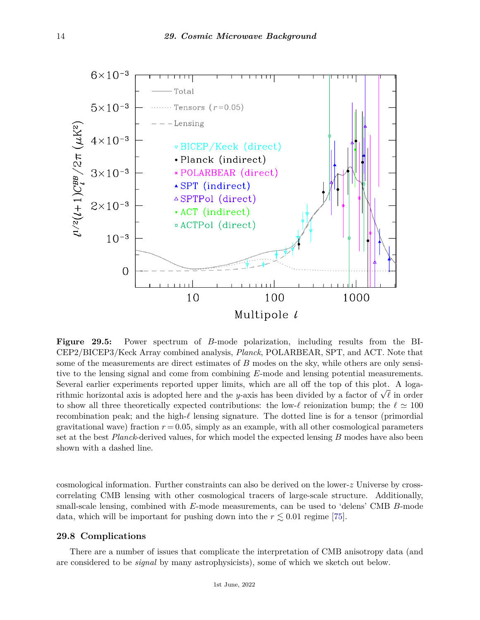

**Figure 29.5:** Power spectrum of *B*-mode polarization, including results from the BI-CEP2/BICEP3/Keck Array combined analysis, *Planck*, POLARBEAR, SPT, and ACT. Note that some of the measurements are direct estimates of *B* modes on the sky, while others are only sensitive to the lensing signal and come from combining *E*-mode and lensing potential measurements. Several earlier experiments reported upper limits, which are all off the top of this plot. A logarithmic horizontal axis is adopted here and the *<sup>y</sup>*-axis has been divided by a factor of <sup>√</sup> *`* in order to show all three theoretically expected contributions: the low- $\ell$  reionization bump; the  $\ell \approx 100$ recombination peak; and the high- $\ell$  lensing signature. The dotted line is for a tensor (primordial gravitational wave) fraction  $r = 0.05$ , simply as an example, with all other cosmological parameters set at the best *Planck*-derived values, for which model the expected lensing *B* modes have also been shown with a dashed line.

cosmological information. Further constraints can also be derived on the lower-*z* Universe by crosscorrelating CMB lensing with other cosmological tracers of large-scale structure. Additionally, small-scale lensing, combined with *E*-mode measurements, can be used to 'delens' CMB *B*-mode data, which will be important for pushing down into the  $r \lesssim 0.01$  regime [\[75\]](#page-22-4).

## **29.8 Complications**

There are a number of issues that complicate the interpretation of CMB anisotropy data (and are considered to be *signal* by many astrophysicists), some of which we sketch out below.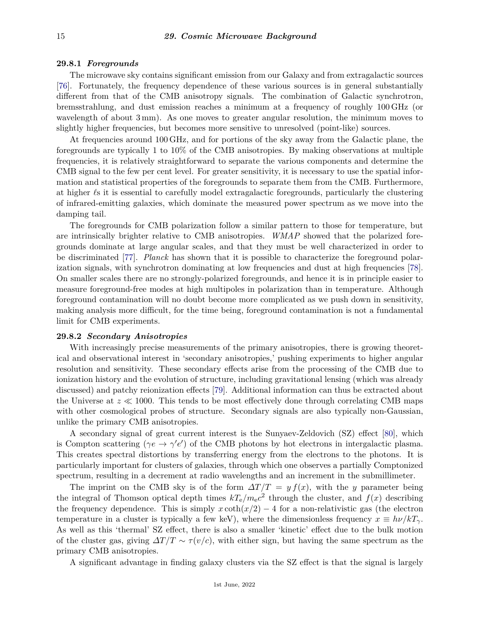### **29.8.1** *Foregrounds*

The microwave sky contains significant emission from our Galaxy and from extragalactic sources [\[76\]](#page-22-5). Fortunately, the frequency dependence of these various sources is in general substantially different from that of the CMB anisotropy signals. The combination of Galactic synchrotron, bremsstrahlung, and dust emission reaches a minimum at a frequency of roughly 100 GHz (or wavelength of about 3 mm). As one moves to greater angular resolution, the minimum moves to slightly higher frequencies, but becomes more sensitive to unresolved (point-like) sources.

At frequencies around 100 GHz, and for portions of the sky away from the Galactic plane, the foregrounds are typically 1 to 10% of the CMB anisotropies. By making observations at multiple frequencies, it is relatively straightforward to separate the various components and determine the CMB signal to the few per cent level. For greater sensitivity, it is necessary to use the spatial information and statistical properties of the foregrounds to separate them from the CMB. Furthermore, at higher *`*s it is essential to carefully model extragalactic foregrounds, particularly the clustering of infrared-emitting galaxies, which dominate the measured power spectrum as we move into the damping tail.

The foregrounds for CMB polarization follow a similar pattern to those for temperature, but are intrinsically brighter relative to CMB anisotropies. *WMAP* showed that the polarized foregrounds dominate at large angular scales, and that they must be well characterized in order to be discriminated [\[77\]](#page-22-6). *Planck* has shown that it is possible to characterize the foreground polarization signals, with synchrotron dominating at low frequencies and dust at high frequencies [\[78\]](#page-22-7). On smaller scales there are no strongly-polarized foregrounds, and hence it is in principle easier to measure foreground-free modes at high multipoles in polarization than in temperature. Although foreground contamination will no doubt become more complicated as we push down in sensitivity, making analysis more difficult, for the time being, foreground contamination is not a fundamental limit for CMB experiments.

## **29.8.2** *Secondary Anisotropies*

With increasingly precise measurements of the primary anisotropies, there is growing theoretical and observational interest in 'secondary anisotropies,' pushing experiments to higher angular resolution and sensitivity. These secondary effects arise from the processing of the CMB due to ionization history and the evolution of structure, including gravitational lensing (which was already discussed) and patchy reionization effects [\[79\]](#page-22-8). Additional information can thus be extracted about the Universe at  $z \ll 1000$ . This tends to be most effectively done through correlating CMB maps with other cosmological probes of structure. Secondary signals are also typically non-Gaussian, unlike the primary CMB anisotropies.

A secondary signal of great current interest is the Sunyaev-Zeldovich (SZ) effect [\[80\]](#page-22-9), which is Compton scattering ( $\gamma e \to \gamma' e'$ ) of the CMB photons by hot electrons in intergalactic plasma. This creates spectral distortions by transferring energy from the electrons to the photons. It is particularly important for clusters of galaxies, through which one observes a partially Comptonized spectrum, resulting in a decrement at radio wavelengths and an increment in the submillimeter.

The imprint on the CMB sky is of the form  $\Delta T/T = y f(x)$ , with the *y* parameter being the integral of Thomson optical depth times  $kT_e/m_ec^2$  through the cluster, and  $f(x)$  describing the frequency dependence. This is simply  $x \coth(x/2) - 4$  for a non-relativistic gas (the electron temperature in a cluster is typically a few keV), where the dimensionless frequency  $x \equiv h\nu/kT_{\gamma}$ . As well as this 'thermal' SZ effect, there is also a smaller 'kinetic' effect due to the bulk motion of the cluster gas, giving  $\Delta T/T \sim \tau(v/c)$ , with either sign, but having the same spectrum as the primary CMB anisotropies.

A significant advantage in finding galaxy clusters via the SZ effect is that the signal is largely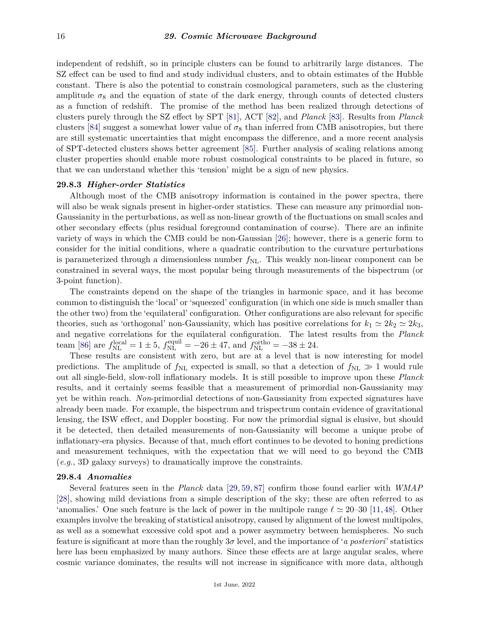independent of redshift, so in principle clusters can be found to arbitrarily large distances. The SZ effect can be used to find and study individual clusters, and to obtain estimates of the Hubble constant. There is also the potential to constrain cosmological parameters, such as the clustering amplitude  $\sigma_8$  and the equation of state of the dark energy, through counts of detected clusters as a function of redshift. The promise of the method has been realized through detections of clusters purely through the SZ effect by SPT [\[81\]](#page-22-10), ACT [\[82\]](#page-22-11), and *Planck* [\[83\]](#page-22-12). Results from *Planck* clusters [\[84\]](#page-22-13) suggest a somewhat lower value of  $\sigma_8$  than inferred from CMB anisotropies, but there are still systematic uncertainties that might encompass the difference, and a more recent analysis of SPT-detected clusters shows better agreement [\[85\]](#page-22-14). Further analysis of scaling relations among cluster properties should enable more robust cosmological constraints to be placed in future, so that we can understand whether this 'tension' might be a sign of new physics.

## **29.8.3** *Higher-order Statistics*

Although most of the CMB anisotropy information is contained in the power spectra, there will also be weak signals present in higher-order statistics. These can measure any primordial non-Gaussianity in the perturbations, as well as non-linear growth of the fluctuations on small scales and other secondary effects (plus residual foreground contamination of course). There are an infinite variety of ways in which the CMB could be non-Gaussian [\[26\]](#page-20-20); however, there is a generic form to consider for the initial conditions, where a quadratic contribution to the curvature perturbations is parameterized through a dimensionless number  $f_{\rm NL}$ . This weakly non-linear component can be constrained in several ways, the most popular being through measurements of the bispectrum (or 3-point function).

The constraints depend on the shape of the triangles in harmonic space, and it has become common to distinguish the 'local' or 'squeezed' configuration (in which one side is much smaller than the other two) from the 'equilateral' configuration. Other configurations are also relevant for specific theories, such as 'orthogonal' non-Gaussianity, which has positive correlations for  $k_1 \simeq 2k_2 \simeq 2k_3$ , and negative correlations for the equilateral configuration. The latest results from the *Planck* team [\[86\]](#page-22-15) are  $f_{\text{NL}}^{\text{local}} = 1 \pm 5$ ,  $f_{\text{NL}}^{\text{equil}} = -26 \pm 47$ , and  $f_{\text{NL}}^{\text{ortho}} = -38 \pm 24$ .

These results are consistent with zero, but are at a level that is now interesting for model predictions. The amplitude of  $f_{\rm NL}$  expected is small, so that a detection of  $f_{\rm NL} \gg 1$  would rule out all single-field, slow-roll inflationary models. It is still possible to improve upon these *Planck* results, and it certainly seems feasible that a measurement of primordial non-Gaussianity may yet be within reach. *Non*-primordial detections of non-Gaussianity from expected signatures have already been made. For example, the bispectrum and trispectrum contain evidence of gravitational lensing, the ISW effect, and Doppler boosting. For now the primordial signal is elusive, but should it be detected, then detailed measurements of non-Gaussianity will become a unique probe of inflationary-era physics. Because of that, much effort continues to be devoted to honing predictions and measurement techniques, with the expectation that we will need to go beyond the CMB (*e.g.*, 3D galaxy surveys) to dramatically improve the constraints.

#### **29.8.4** *Anomalies*

Several features seen in the *Planck* data [\[29,](#page-20-23) [59,](#page-21-22) [87\]](#page-22-16) confirm those found earlier with *WMAP* [\[28\]](#page-20-22), showing mild deviations from a simple description of the sky; these are often referred to as 'anomalies.' One such feature is the lack of power in the multipole range  $\ell \approx 20{\text -}30$  [\[11,](#page-20-5) [48\]](#page-21-11). Other examples involve the breaking of statistical anisotropy, caused by alignment of the lowest multipoles, as well as a somewhat excessive cold spot and a power asymmetry between hemispheres. No such feature is significant at more than the roughly 3*σ* level, and the importance of '*a posteriori*' statistics here has been emphasized by many authors. Since these effects are at large angular scales, where cosmic variance dominates, the results will not increase in significance with more data, although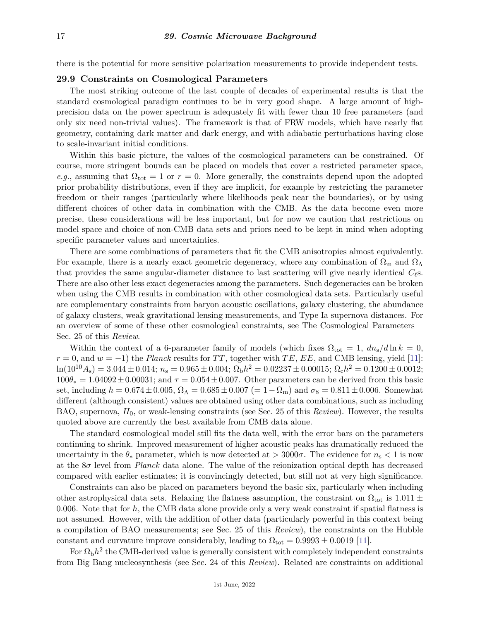there is the potential for more sensitive polarization measurements to provide independent tests.

## **29.9 Constraints on Cosmological Parameters**

The most striking outcome of the last couple of decades of experimental results is that the standard cosmological paradigm continues to be in very good shape. A large amount of highprecision data on the power spectrum is adequately fit with fewer than 10 free parameters (and only six need non-trivial values). The framework is that of FRW models, which have nearly flat geometry, containing dark matter and dark energy, and with adiabatic perturbations having close to scale-invariant initial conditions.

Within this basic picture, the values of the cosmological parameters can be constrained. Of course, more stringent bounds can be placed on models that cover a restricted parameter space, *e.g.*, assuming that  $\Omega_{\text{tot}} = 1$  or  $r = 0$ . More generally, the constraints depend upon the adopted prior probability distributions, even if they are implicit, for example by restricting the parameter freedom or their ranges (particularly where likelihoods peak near the boundaries), or by using different choices of other data in combination with the CMB. As the data become even more precise, these considerations will be less important, but for now we caution that restrictions on model space and choice of non-CMB data sets and priors need to be kept in mind when adopting specific parameter values and uncertainties.

There are some combinations of parameters that fit the CMB anisotropies almost equivalently. For example, there is a nearly exact geometric degeneracy, where any combination of  $\Omega_{\rm m}$  and  $\Omega_{\Lambda}$ that provides the same angular-diameter distance to last scattering will give nearly identical  $C_{\ell}$ s. There are also other less exact degeneracies among the parameters. Such degeneracies can be broken when using the CMB results in combination with other cosmological data sets. Particularly useful are complementary constraints from baryon acoustic oscillations, galaxy clustering, the abundance of galaxy clusters, weak gravitational lensing measurements, and Type Ia supernova distances. For an overview of some of these other cosmological constraints, see The Cosmological Parameters— Sec. 25 of this *Review*.

Within the context of a 6-parameter family of models (which fixes  $\Omega_{\text{tot}} = 1$ ,  $dn_{\text{s}}/d\ln k = 0$ ,  $r = 0$ , and  $w = -1$ ) the *Planck* results for *TT*, together with *TE*, *EE*, and CMB lensing, yield [\[11\]](#page-20-5):  $\ln(10^{10}A_{\rm s}) = 3.044 \pm 0.014; n_{\rm s} = 0.965 \pm 0.004; \Omega_{\rm b}h^2 = 0.02237 \pm 0.00015; \Omega_{\rm c}h^2 = 0.1200 \pm 0.0012;$  $100\theta_* = 1.04092 \pm 0.00031$ ; and  $\tau = 0.054 \pm 0.007$ . Other parameters can be derived from this basic set, including  $h = 0.674 \pm 0.005$ ,  $\Omega_{\Lambda} = 0.685 \pm 0.007$  (= 1 –  $\Omega_{\rm m}$ ) and  $\sigma_8 = 0.811 \pm 0.006$ . Somewhat different (although consistent) values are obtained using other data combinations, such as including BAO, supernova, *H*0, or weak-lensing constraints (see Sec. 25 of this *Review*). However, the results quoted above are currently the best available from CMB data alone.

The standard cosmological model still fits the data well, with the error bars on the parameters continuing to shrink. Improved measurement of higher acoustic peaks has dramatically reduced the uncertainty in the  $\theta_*$  parameter, which is now detected at  $> 3000\sigma$ . The evidence for  $n_s < 1$  is now at the 8*σ* level from *Planck* data alone. The value of the reionization optical depth has decreased compared with earlier estimates; it is convincingly detected, but still not at very high significance.

Constraints can also be placed on parameters beyond the basic six, particularly when including other astrophysical data sets. Relaxing the flatness assumption, the constraint on  $\Omega_{\text{tot}}$  is 1.011  $\pm$ 0*.*006. Note that for *h*, the CMB data alone provide only a very weak constraint if spatial flatness is not assumed. However, with the addition of other data (particularly powerful in this context being a compilation of BAO measurements; see Sec. 25 of this *Review*), the constraints on the Hubble constant and curvature improve considerably, leading to  $\Omega_{\text{tot}} = 0.9993 \pm 0.0019$  [\[11\]](#page-20-5).

For  $\Omega_{\rm b}h^2$  the CMB-derived value is generally consistent with completely independent constraints from Big Bang nucleosynthesis (see Sec. 24 of this *Review*). Related are constraints on additional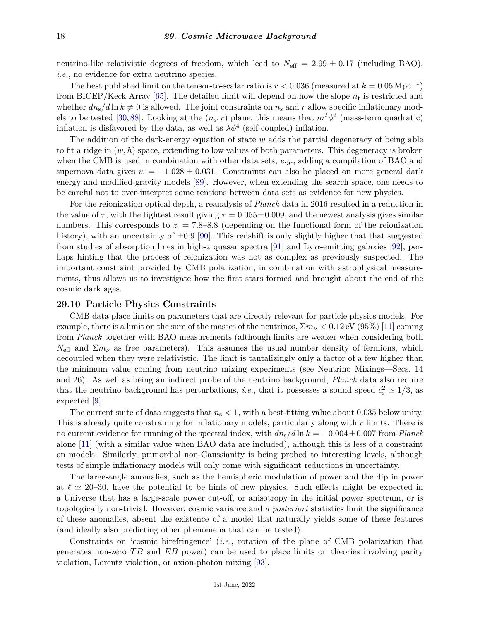neutrino-like relativistic degrees of freedom, which lead to  $N_{\text{eff}} = 2.99 \pm 0.17$  (including BAO), *i.e.*, no evidence for extra neutrino species.

The best published limit on the tensor-to-scalar ratio is  $r < 0.036$  (measured at  $k = 0.05 \,\mathrm{Mpc}^{-1}$ ) from BICEP/Keck Array [\[65\]](#page-21-28). The detailed limit will depend on how the slope *n*<sup>t</sup> is restricted and whether  $dn_s/d\ln k \neq 0$  is allowed. The joint constraints on  $n_s$  and  $r$  allow specific inflationary mod-els to be tested [\[30,](#page-20-24)[88\]](#page-22-17). Looking at the  $(n_s, r)$  plane, this means that  $m^2\phi^2$  (mass-term quadratic) inflation is disfavored by the data, as well as  $\lambda \phi^4$  (self-coupled) inflation.

The addition of the dark-energy equation of state *w* adds the partial degeneracy of being able to fit a ridge in (*w, h*) space, extending to low values of both parameters. This degeneracy is broken when the CMB is used in combination with other data sets, *e.g.*, adding a compilation of BAO and supernova data gives  $w = -1.028 \pm 0.031$ . Constraints can also be placed on more general dark energy and modified-gravity models [\[89\]](#page-22-18). However, when extending the search space, one needs to be careful not to over-interpret some tensions between data sets as evidence for new physics.

For the reionization optical depth, a reanalysis of *Planck* data in 2016 resulted in a reduction in the value of  $\tau$ , with the tightest result giving  $\tau = 0.055 \pm 0.009$ , and the newest analysis gives similar numbers. This corresponds to  $z_i = 7.8$ –8.8 (depending on the functional form of the reionization history), with an uncertainty of  $\pm 0.9$  [\[90\]](#page-22-19). This redshift is only slightly higher that that suggested from studies of absorption lines in high-*z* quasar spectra [\[91\]](#page-22-20) and Ly  $\alpha$ -emitting galaxies [\[92\]](#page-22-21), perhaps hinting that the process of reionization was not as complex as previously suspected. The important constraint provided by CMB polarization, in combination with astrophysical measurements, thus allows us to investigate how the first stars formed and brought about the end of the cosmic dark ages.

#### **29.10 Particle Physics Constraints**

CMB data place limits on parameters that are directly relevant for particle physics models. For example, there is a limit on the sum of the masses of the neutrinos,  $\Sigma m_{\nu} < 0.12 \text{ eV}$  (95%) [\[11\]](#page-20-5) coming from *Planck* together with BAO measurements (although limits are weaker when considering both  $N_{\text{eff}}$  and  $\Sigma m_{\nu}$  as free parameters). This assumes the usual number density of fermions, which decoupled when they were relativistic. The limit is tantalizingly only a factor of a few higher than the minimum value coming from neutrino mixing experiments (see Neutrino Mixings—Secs. 14 and 26). As well as being an indirect probe of the neutrino background, *Planck* data also require that the neutrino background has perturbations, *i.e.*, that it possesses a sound speed  $c_s^2 \simeq 1/3$ , as expected [\[9\]](#page-20-3).

The current suite of data suggests that *n*<sup>s</sup> *<* 1, with a best-fitting value about 0.035 below unity. This is already quite constraining for inflationary models, particularly along with *r* limits. There is no current evidence for running of the spectral index, with  $dn_s/d\ln k = -0.004 \pm 0.007$  from *Planck* alone [\[11\]](#page-20-5) (with a similar value when BAO data are included), although this is less of a constraint on models. Similarly, primordial non-Gaussianity is being probed to interesting levels, although tests of simple inflationary models will only come with significant reductions in uncertainty.

The large-angle anomalies, such as the hemispheric modulation of power and the dip in power at  $\ell \approx 20$ –30, have the potential to be hints of new physics. Such effects might be expected in a Universe that has a large-scale power cut-off, or anisotropy in the initial power spectrum, or is topologically non-trivial. However, cosmic variance and *a posteriori* statistics limit the significance of these anomalies, absent the existence of a model that naturally yields some of these features (and ideally also predicting other phenomena that can be tested).

Constraints on 'cosmic birefringence' (*i.e.*, rotation of the plane of CMB polarization that generates non-zero *T B* and *EB* power) can be used to place limits on theories involving parity violation, Lorentz violation, or axion-photon mixing [\[93\]](#page-22-22).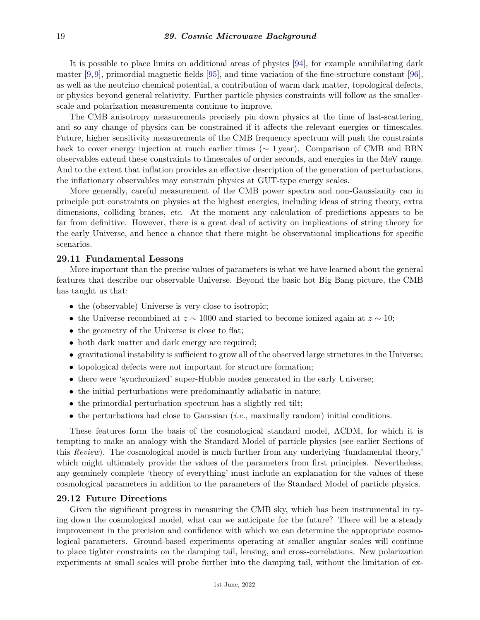It is possible to place limits on additional areas of physics [\[94\]](#page-22-23), for example annihilating dark matter [\[9,9\]](#page-20-3), primordial magnetic fields [\[95\]](#page-22-24), and time variation of the fine-structure constant [\[96\]](#page-22-25), as well as the neutrino chemical potential, a contribution of warm dark matter, topological defects, or physics beyond general relativity. Further particle physics constraints will follow as the smallerscale and polarization measurements continue to improve.

The CMB anisotropy measurements precisely pin down physics at the time of last-scattering, and so any change of physics can be constrained if it affects the relevant energies or timescales. Future, higher sensitivity measurements of the CMB frequency spectrum will push the constraints back to cover energy injection at much earlier times ( $\sim 1$  year). Comparison of CMB and BBN observables extend these constraints to timescales of order seconds, and energies in the MeV range. And to the extent that inflation provides an effective description of the generation of perturbations, the inflationary observables may constrain physics at GUT-type energy scales.

More generally, careful measurement of the CMB power spectra and non-Gaussianity can in principle put constraints on physics at the highest energies, including ideas of string theory, extra dimensions, colliding branes, *etc*. At the moment any calculation of predictions appears to be far from definitive. However, there is a great deal of activity on implications of string theory for the early Universe, and hence a chance that there might be observational implications for specific scenarios.

## **29.11 Fundamental Lessons**

More important than the precise values of parameters is what we have learned about the general features that describe our observable Universe. Beyond the basic hot Big Bang picture, the CMB has taught us that:

- the (observable) Universe is very close to isotropic;
- the Universe recombined at *z* ∼ 1000 and started to become ionized again at *z* ∼ 10;
- the geometry of the Universe is close to flat;
- both dark matter and dark energy are required;
- gravitational instability is sufficient to grow all of the observed large structures in the Universe;
- topological defects were not important for structure formation;
- there were 'synchronized' super-Hubble modes generated in the early Universe;
- the initial perturbations were predominantly adiabatic in nature;
- the primordial perturbation spectrum has a slightly red tilt;
- the perturbations had close to Gaussian (*i.e.*, maximally random) initial conditions.

These features form the basis of the cosmological standard model, ΛCDM, for which it is tempting to make an analogy with the Standard Model of particle physics (see earlier Sections of this *Review*). The cosmological model is much further from any underlying 'fundamental theory,' which might ultimately provide the values of the parameters from first principles. Nevertheless, any genuinely complete 'theory of everything' must include an explanation for the values of these cosmological parameters in addition to the parameters of the Standard Model of particle physics.

## **29.12 Future Directions**

Given the significant progress in measuring the CMB sky, which has been instrumental in tying down the cosmological model, what can we anticipate for the future? There will be a steady improvement in the precision and confidence with which we can determine the appropriate cosmological parameters. Ground-based experiments operating at smaller angular scales will continue to place tighter constraints on the damping tail, lensing, and cross-correlations. New polarization experiments at small scales will probe further into the damping tail, without the limitation of ex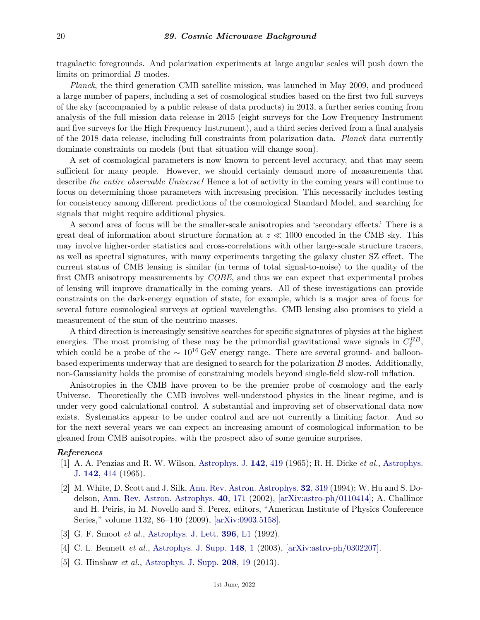tragalactic foregrounds. And polarization experiments at large angular scales will push down the limits on primordial *B* modes.

*Planck*, the third generation CMB satellite mission, was launched in May 2009, and produced a large number of papers, including a set of cosmological studies based on the first two full surveys of the sky (accompanied by a public release of data products) in 2013, a further series coming from analysis of the full mission data release in 2015 (eight surveys for the Low Frequency Instrument and five surveys for the High Frequency Instrument), and a third series derived from a final analysis of the 2018 data release, including full constraints from polarization data. *Planck* data currently dominate constraints on models (but that situation will change soon).

A set of cosmological parameters is now known to percent-level accuracy, and that may seem sufficient for many people. However, we should certainly demand more of measurements that describe *the entire observable Universe!* Hence a lot of activity in the coming years will continue to focus on determining those parameters with increasing precision. This necessarily includes testing for consistency among different predictions of the cosmological Standard Model, and searching for signals that might require additional physics.

A second area of focus will be the smaller-scale anisotropies and 'secondary effects.' There is a great deal of information about structure formation at  $z \ll 1000$  encoded in the CMB sky. This may involve higher-order statistics and cross-correlations with other large-scale structure tracers, as well as spectral signatures, with many experiments targeting the galaxy cluster SZ effect. The current status of CMB lensing is similar (in terms of total signal-to-noise) to the quality of the first CMB anisotropy measurements by *COBE*, and thus we can expect that experimental probes of lensing will improve dramatically in the coming years. All of these investigations can provide constraints on the dark-energy equation of state, for example, which is a major area of focus for several future cosmological surveys at optical wavelengths. CMB lensing also promises to yield a measurement of the sum of the neutrino masses.

A third direction is increasingly sensitive searches for specific signatures of physics at the highest energies. The most promising of these may be the primordial gravitational wave signals in  $C_{\ell}^{BB}$ , which could be a probe of the  $\sim 10^{16} \text{ GeV}$  energy range. There are several ground- and balloonbased experiments underway that are designed to search for the polarization *B* modes. Additionally, non-Gaussianity holds the promise of constraining models beyond single-field slow-roll inflation.

Anisotropies in the CMB have proven to be the premier probe of cosmology and the early Universe. Theoretically the CMB involves well-understood physics in the linear regime, and is under very good calculational control. A substantial and improving set of observational data now exists. Systematics appear to be under control and are not currently a limiting factor. And so for the next several years we can expect an increasing amount of cosmological information to be gleaned from CMB anisotropies, with the prospect also of some genuine surprises.

## <span id="page-19-0"></span>*References*

- [1] A. A. Penzias and R. W. Wilson, [Astrophys. J.](http://doi.org/10.1086/148307) **142**[, 419](http://doi.org/10.1086/148307) (1965); R. H. Dicke *et al.*, [Astrophys.](http://doi.org/10.1086/148306) [J.](http://doi.org/10.1086/148306) **142**[, 414](http://doi.org/10.1086/148306) (1965).
- <span id="page-19-1"></span>[2] M. White, D. Scott and J. Silk, [Ann. Rev. Astron. Astrophys.](http://doi.org/10.1146/annurev.astro.32.1.319) **32**[, 319](http://doi.org/10.1146/annurev.astro.32.1.319) (1994); W. Hu and S. Dodelson, [Ann. Rev. Astron. Astrophys.](http://doi.org/10.1146/annurev.astro.40.060401.093926) **40**[, 171](http://doi.org/10.1146/annurev.astro.40.060401.093926) (2002), [\[arXiv:astro-ph/0110414\];](https://arxiv.org/abs/astro-ph/0110414) A. Challinor and H. Peiris, in M. Novello and S. Perez, editors, "American Institute of Physics Conference Series," volume 1132, 86–140 (2009), [\[arXiv:0903.5158\].](https://arxiv.org/abs/0903.5158)
- <span id="page-19-2"></span>[3] G. F. Smoot *et al.*, [Astrophys. J. Lett.](http://doi.org/10.1086/186504) **396**[, L1](http://doi.org/10.1086/186504) (1992).
- <span id="page-19-4"></span><span id="page-19-3"></span>[4] C. L. Bennett *et al.*, [Astrophys. J. Supp.](http://doi.org/10.1086/377253) **[148](http://doi.org/10.1086/377253)**, 1 (2003), [\[arXiv:astro-ph/0302207\].](https://arxiv.org/abs/astro-ph/0302207)
- [5] G. Hinshaw *et al.*, [Astrophys. J. Supp.](http://doi.org/10.1088/0067-0049/208/2/19) **[208](http://doi.org/10.1088/0067-0049/208/2/19)**, 19 (2013).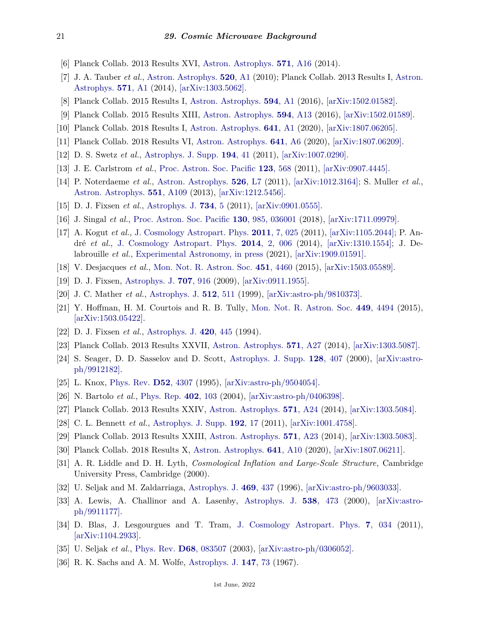- <span id="page-20-0"></span>[6] Planck Collab. 2013 Results XVI, [Astron. Astrophys.](http://doi.org/10.1051/0004-6361/201321591) **571**[, A16](http://doi.org/10.1051/0004-6361/201321591) (2014).
- <span id="page-20-1"></span>[7] J. A. Tauber *et al.*, [Astron. Astrophys.](http://doi.org/10.1051/0004-6361/200912983) **520**[, A1](http://doi.org/10.1051/0004-6361/200912983) (2010); Planck Collab. 2013 Results I, [Astron.](http://doi.org/10.1051/0004-6361/201321529) [Astrophys.](http://doi.org/10.1051/0004-6361/201321529) **571**[, A1](http://doi.org/10.1051/0004-6361/201321529) (2014), [\[arXiv:1303.5062\].](https://arxiv.org/abs/1303.5062)
- <span id="page-20-3"></span><span id="page-20-2"></span>[8] Planck Collab. 2015 Results I, [Astron. Astrophys.](http://doi.org/10.1051/0004-6361/201527101) **594**[, A1](http://doi.org/10.1051/0004-6361/201527101) (2016), [\[arXiv:1502.01582\].](https://arxiv.org/abs/1502.01582)
- [9] Planck Collab. 2015 Results XIII, [Astron. Astrophys.](http://doi.org/10.1051/0004-6361/201525830) **594**[, A13](http://doi.org/10.1051/0004-6361/201525830) (2016), [\[arXiv:1502.01589\].](https://arxiv.org/abs/1502.01589)
- <span id="page-20-5"></span><span id="page-20-4"></span>[10] Planck Collab. 2018 Results I, [Astron. Astrophys.](http://doi.org/10.1051/0004-6361/201833880) **641**[, A1](http://doi.org/10.1051/0004-6361/201833880) (2020), [\[arXiv:1807.06205\].](https://arxiv.org/abs/1807.06205)
- [11] Planck Collab. 2018 Results VI, [Astron. Astrophys.](http://doi.org/10.1051/0004-6361/201833910) **641**[, A6](http://doi.org/10.1051/0004-6361/201833910) (2020), [\[arXiv:1807.06209\].](https://arxiv.org/abs/1807.06209)
- <span id="page-20-6"></span>[12] D. S. Swetz *et al.*, [Astrophys. J. Supp.](http://doi.org/10.1088/0067-0049/194/2/41) **[194](http://doi.org/10.1088/0067-0049/194/2/41)**, 41 (2011), [\[arXiv:1007.0290\].](https://arxiv.org/abs/1007.0290)
- <span id="page-20-7"></span>[13] J. E. Carlstrom *et al.*, [Proc. Astron. Soc. Pacific](http://doi.org/10.1086/659879) **123**[, 568](http://doi.org/10.1086/659879) (2011), [\[arXiv:0907.4445\].](https://arxiv.org/abs/0907.4445)
- <span id="page-20-8"></span>[14] P. Noterdaeme *et al.*, [Astron. Astrophys.](http://doi.org/10.1051/0004-6361/201016140) **526**[, L7](http://doi.org/10.1051/0004-6361/201016140) (2011), [\[arXiv:1012.3164\];](https://arxiv.org/abs/1012.3164) S. Muller *et al.*, [Astron. Astrophys.](http://doi.org/10.1051/0004-6361/201220613) **551**[, A109](http://doi.org/10.1051/0004-6361/201220613) (2013), [\[arXiv:1212.5456\].](https://arxiv.org/abs/1212.5456)
- <span id="page-20-9"></span>[15] D. J. Fixsen *et al.*, [Astrophys. J.](http://doi.org/10.1088/0004-637X/734/1/5) **[734](http://doi.org/10.1088/0004-637X/734/1/5)**, 5 (2011), [\[arXiv:0901.0555\].](https://arxiv.org/abs/0901.0555)
- <span id="page-20-10"></span>[16] J. Singal *et al.*, [Proc. Astron. Soc. Pacific](http://doi.org/10.1088/1538-3873/aaa6b0) **130**[, 985, 036001](http://doi.org/10.1088/1538-3873/aaa6b0) (2018), [\[arXiv:1711.09979\].](https://arxiv.org/abs/1711.09979)
- <span id="page-20-11"></span>[17] A. Kogut *et al.*, [J. Cosmology Astropart. Phys.](http://doi.org/10.1088/1475-7516/2011/07/025) **2011**[, 7, 025](http://doi.org/10.1088/1475-7516/2011/07/025) (2011), [\[arXiv:1105.2044\];](https://arxiv.org/abs/1105.2044) P. André *et al.*, [J. Cosmology Astropart. Phys.](http://doi.org/10.1088/1475-7516/2014/02/006) **2014**[, 2, 006](http://doi.org/10.1088/1475-7516/2014/02/006) (2014), [\[arXiv:1310.1554\];](https://arxiv.org/abs/1310.1554) J. Delabrouille *et al.*, [Experimental Astronomy, in press](http://doi.org/10.1007/s10686-021-09721-z) (2021), [\[arXiv:1909.01591\].](https://arxiv.org/abs/1909.01591)
- <span id="page-20-12"></span>[18] V. Desjacques *et al.*, [Mon. Not. R. Astron. Soc.](http://doi.org/10.1093/mnras/stv1291) **451**[, 4460](http://doi.org/10.1093/mnras/stv1291) (2015), [\[arXiv:1503.05589\].](https://arxiv.org/abs/1503.05589)
- <span id="page-20-13"></span>[19] D. J. Fixsen, [Astrophys. J.](http://doi.org/10.1088/0004-637X/707/2/916) **707**[, 916](http://doi.org/10.1088/0004-637X/707/2/916) (2009), [\[arXiv:0911.1955\].](https://arxiv.org/abs/0911.1955)
- <span id="page-20-14"></span>[20] J. C. Mather *et al.*, [Astrophys. J.](http://doi.org/10.1086/306805) **512**[, 511](http://doi.org/10.1086/306805) (1999), [\[arXiv:astro-ph/9810373\].](https://arxiv.org/abs/astro-ph/9810373)
- <span id="page-20-15"></span>[21] Y. Hoffman, H. M. Courtois and R. B. Tully, [Mon. Not. R. Astron. Soc.](http://doi.org/10.1093/mnras/stv615) **449**[, 4494](http://doi.org/10.1093/mnras/stv615) (2015), [\[arXiv:1503.05422\].](https://arxiv.org/abs/1503.05422)
- <span id="page-20-16"></span>[22] D. J. Fixsen *et al.*, [Astrophys. J.](http://doi.org/10.1086/173575) **420**[, 445](http://doi.org/10.1086/173575) (1994).
- <span id="page-20-18"></span><span id="page-20-17"></span>[23] Planck Collab. 2013 Results XXVII, [Astron. Astrophys.](http://doi.org/10.1051/0004-6361/201321556) **571**[, A27](http://doi.org/10.1051/0004-6361/201321556) (2014), [\[arXiv:1303.5087\].](https://arxiv.org/abs/1303.5087)
- [24] S. Seager, D. D. Sasselov and D. Scott, [Astrophys. J. Supp.](http://doi.org/10.1086/313388) **128**[, 407](http://doi.org/10.1086/313388) (2000), [\[arXiv:astro](https://arxiv.org/abs/astro-ph/9912182)[ph/9912182\].](https://arxiv.org/abs/astro-ph/9912182)
- <span id="page-20-19"></span>[25] L. Knox, [Phys. Rev.](http://doi.org/10.1103/PhysRevD.52.4307) **D52**[, 4307](http://doi.org/10.1103/PhysRevD.52.4307) (1995), [\[arXiv:astro-ph/9504054\].](https://arxiv.org/abs/astro-ph/9504054)
- <span id="page-20-20"></span>[26] N. Bartolo *et al.*, [Phys. Rep.](http://doi.org/10.1016/j.physrep.2004.08.022) **402**[, 103](http://doi.org/10.1016/j.physrep.2004.08.022) (2004), [\[arXiv:astro-ph/0406398\].](https://arxiv.org/abs/astro-ph/0406398)
- <span id="page-20-21"></span>[27] Planck Collab. 2013 Results XXIV, [Astron. Astrophys.](http://doi.org/10.1051/0004-6361/201321554) **571**[, A24](http://doi.org/10.1051/0004-6361/201321554) (2014), [\[arXiv:1303.5084\].](https://arxiv.org/abs/1303.5084)
- <span id="page-20-22"></span>[28] C. L. Bennett *et al.*, [Astrophys. J. Supp.](http://doi.org/10.1088/0067-0049/192/2/17) **[192](http://doi.org/10.1088/0067-0049/192/2/17)**, 17 (2011), [\[arXiv:1001.4758\].](https://arxiv.org/abs/1001.4758)
- <span id="page-20-24"></span><span id="page-20-23"></span>[29] Planck Collab. 2013 Results XXIII, [Astron. Astrophys.](http://doi.org/10.1051/0004-6361/201321534) **571**[, A23](http://doi.org/10.1051/0004-6361/201321534) (2014), [\[arXiv:1303.5083\].](https://arxiv.org/abs/1303.5083)
- [30] Planck Collab. 2018 Results X, [Astron. Astrophys.](http://doi.org/10.1051/0004-6361/201833887) **641**[, A10](http://doi.org/10.1051/0004-6361/201833887) (2020), [\[arXiv:1807.06211\].](https://arxiv.org/abs/1807.06211)
- <span id="page-20-25"></span>[31] A. R. Liddle and D. H. Lyth, *Cosmological Inflation and Large-Scale Structure*, Cambridge University Press, Cambridge (2000).
- <span id="page-20-26"></span>[32] U. Seljak and M. Zaldarriaga, [Astrophys. J.](http://doi.org/10.1086/177793) **469**[, 437](http://doi.org/10.1086/177793) (1996), [\[arXiv:astro-ph/9603033\].](https://arxiv.org/abs/astro-ph/9603033)
- <span id="page-20-27"></span>[33] A. Lewis, A. Challinor and A. Lasenby, [Astrophys. J.](http://doi.org/10.1086/309179) **538**[, 473](http://doi.org/10.1086/309179) (2000), [\[arXiv:astro](https://arxiv.org/abs/astro-ph/9911177)[ph/9911177\].](https://arxiv.org/abs/astro-ph/9911177)
- <span id="page-20-28"></span>[34] D. Blas, J. Lesgourgues and T. Tram, [J. Cosmology Astropart. Phys.](http://doi.org/10.1088/1475-7516/2011/07/034) **7**[, 034](http://doi.org/10.1088/1475-7516/2011/07/034) (2011), [\[arXiv:1104.2933\].](https://arxiv.org/abs/1104.2933)
- <span id="page-20-30"></span><span id="page-20-29"></span>[35] U. Seljak *et al.*, [Phys. Rev.](http://doi.org/10.1103/PhysRevD.68.083507) **D68**[, 083507](http://doi.org/10.1103/PhysRevD.68.083507) (2003), [\[arXiv:astro-ph/0306052\].](https://arxiv.org/abs/astro-ph/0306052)
- [36] R. K. Sachs and A. M. Wolfe, [Astrophys. J.](http://doi.org/10.1086/148982) **[147](http://doi.org/10.1086/148982)**, 73 (1967).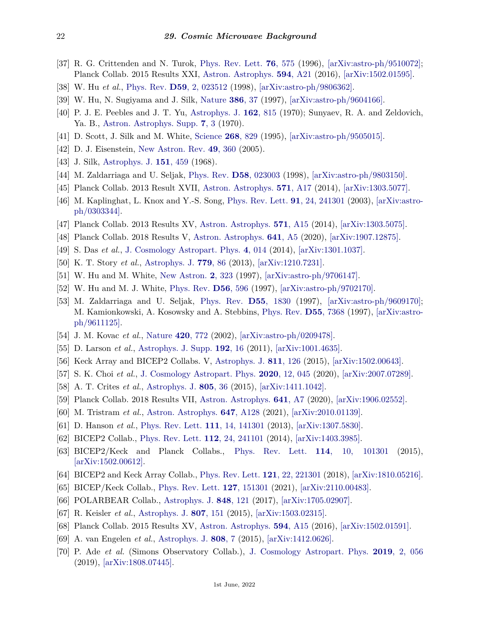- <span id="page-21-0"></span>[37] R. G. Crittenden and N. Turok, [Phys. Rev. Lett.](http://doi.org/10.1103/PhysRevLett.76.575) **76**[, 575](http://doi.org/10.1103/PhysRevLett.76.575) (1996), [\[arXiv:astro-ph/9510072\];](https://arxiv.org/abs/astro-ph/9510072) Planck Collab. 2015 Results XXI, [Astron. Astrophys.](http://doi.org/10.1051/0004-6361/201525831) **594**[, A21](http://doi.org/10.1051/0004-6361/201525831) (2016), [\[arXiv:1502.01595\].](https://arxiv.org/abs/1502.01595)
- <span id="page-21-1"></span>[38] W. Hu *et al.*, [Phys. Rev.](http://doi.org/10.1103/PhysRevD.59.023512) **D59**[, 2, 023512](http://doi.org/10.1103/PhysRevD.59.023512) (1998), [\[arXiv:astro-ph/9806362\].](https://arxiv.org/abs/astro-ph/9806362)
- <span id="page-21-2"></span>[39] W. Hu, N. Sugiyama and J. Silk, [Nature](http://doi.org/10.1038/386037a0) **[386](http://doi.org/10.1038/386037a0)**, 37 (1997), [\[arXiv:astro-ph/9604166\].](https://arxiv.org/abs/astro-ph/9604166)
- <span id="page-21-3"></span>[40] P. J. E. Peebles and J. T. Yu, [Astrophys. J.](http://doi.org/10.1086/150713) **162**[, 815](http://doi.org/10.1086/150713) (1970); Sunyaev, R. A. and Zeldovich, Ya. B., [Astron. Astrophys. Supp.](http://doi.org/10.1007/BF00653471) **7**[, 3](http://doi.org/10.1007/BF00653471) (1970).
- <span id="page-21-4"></span>[41] D. Scott, J. Silk and M. White, [Science](http://doi.org/10.1126/science.268.5212.829) **268**[, 829](http://doi.org/10.1126/science.268.5212.829) (1995), [\[arXiv:astro-ph/9505015\].](https://arxiv.org/abs/astro-ph/9505015)
- <span id="page-21-5"></span>[42] D. J. Eisenstein, [New Astron. Rev.](http://doi.org/10.1016/j.newar.2005.08.005) **49**[, 360](http://doi.org/10.1016/j.newar.2005.08.005) (2005).
- <span id="page-21-6"></span>[43] J. Silk, [Astrophys. J.](http://doi.org/10.1086/149449) **151**[, 459](http://doi.org/10.1086/149449) (1968).
- <span id="page-21-8"></span><span id="page-21-7"></span>[44] M. Zaldarriaga and U. Seljak, [Phys. Rev.](http://doi.org/10.1103/PhysRevD.58.023003) **D58**[, 023003](http://doi.org/10.1103/PhysRevD.58.023003) (1998), [\[arXiv:astro-ph/9803150\].](https://arxiv.org/abs/astro-ph/9803150)
- [45] Planck Collab. 2013 Result XVII, [Astron. Astrophys.](http://doi.org/10.1051/0004-6361/201321543) **571**[, A17](http://doi.org/10.1051/0004-6361/201321543) (2014), [\[arXiv:1303.5077\].](https://arxiv.org/abs/1303.5077)
- <span id="page-21-9"></span>[46] M. Kaplinghat, L. Knox and Y.-S. Song, [Phys. Rev. Lett.](http://doi.org/10.1103/PhysRevLett.91.241301) **91**[, 24, 241301](http://doi.org/10.1103/PhysRevLett.91.241301) (2003), [\[arXiv:astro](https://arxiv.org/abs/astro-ph/0303344)[ph/0303344\].](https://arxiv.org/abs/astro-ph/0303344)
- <span id="page-21-10"></span>[47] Planck Collab. 2013 Results XV, [Astron. Astrophys.](http://doi.org/10.1051/0004-6361/201321573) **571**[, A15](http://doi.org/10.1051/0004-6361/201321573) (2014), [\[arXiv:1303.5075\].](https://arxiv.org/abs/1303.5075)
- <span id="page-21-11"></span>[48] Planck Collab. 2018 Results V, [Astron. Astrophys.](http://doi.org/10.1051/0004-6361/201936386) **641**[, A5](http://doi.org/10.1051/0004-6361/201936386) (2020), [\[arXiv:1907.12875\].](https://arxiv.org/abs/1907.12875)
- <span id="page-21-12"></span>[49] S. Das *et al.*, [J. Cosmology Astropart. Phys.](http://doi.org/10.1088/1475-7516/2014/04/014) **4**[, 014](http://doi.org/10.1088/1475-7516/2014/04/014) (2014), [\[arXiv:1301.1037\].](https://arxiv.org/abs/1301.1037)
- <span id="page-21-13"></span>[50] K. T. Story *et al.*, [Astrophys. J.](http://doi.org/10.1088/0004-637X/779/1/86) **[779](http://doi.org/10.1088/0004-637X/779/1/86)**, 86 (2013), [\[arXiv:1210.7231\].](https://arxiv.org/abs/1210.7231)
- <span id="page-21-14"></span>[51] W. Hu and M. White, [New Astron.](http://doi.org/10.1016/S1384-1076(97)00022-5) **2**[, 323](http://doi.org/10.1016/S1384-1076(97)00022-5) (1997), [\[arXiv:astro-ph/9706147\].](https://arxiv.org/abs/astro-ph/9706147)
- <span id="page-21-15"></span>[52] W. Hu and M. J. White, [Phys. Rev.](http://doi.org/10.1103/PhysRevD.56.596) **D56**[, 596](http://doi.org/10.1103/PhysRevD.56.596) (1997), [\[arXiv:astro-ph/9702170\].](https://arxiv.org/abs/astro-ph/9702170)
- <span id="page-21-16"></span>[53] M. Zaldarriaga and U. Seljak, [Phys. Rev.](http://doi.org/10.1103/PhysRevD.55.1830) **D55**[, 1830](http://doi.org/10.1103/PhysRevD.55.1830) (1997), [\[arXiv:astro-ph/9609170\];](https://arxiv.org/abs/astro-ph/9609170) M. Kamionkowski, A. Kosowsky and A. Stebbins, [Phys. Rev.](http://doi.org/10.1103/PhysRevD.55.7368) **D55**[, 7368](http://doi.org/10.1103/PhysRevD.55.7368) (1997), [\[arXiv:astro](https://arxiv.org/abs/astro-ph/9611125)[ph/9611125\].](https://arxiv.org/abs/astro-ph/9611125)
- <span id="page-21-17"></span>[54] J. M. Kovac *et al.*, [Nature](http://doi.org/10.1038/nature01269) **420**[, 772](http://doi.org/10.1038/nature01269) (2002), [\[arXiv:astro-ph/0209478\].](https://arxiv.org/abs/astro-ph/0209478)
- <span id="page-21-18"></span>[55] D. Larson *et al.*, [Astrophys. J. Supp.](http://doi.org/10.1088/0067-0049/192/2/16) **[192](http://doi.org/10.1088/0067-0049/192/2/16)**, 16 (2011), [\[arXiv:1001.4635\].](https://arxiv.org/abs/1001.4635)
- <span id="page-21-19"></span>[56] Keck Array and BICEP2 Collabs. V, [Astrophys. J.](http://doi.org/10.1088/0004-637X/811/2/126) **811**[, 126](http://doi.org/10.1088/0004-637X/811/2/126) (2015), [\[arXiv:1502.00643\].](https://arxiv.org/abs/1502.00643)
- <span id="page-21-20"></span>[57] S. K. Choi *et al.*, [J. Cosmology Astropart. Phys.](http://doi.org/10.1088/1475-7516/2020/12/045) **2020**[, 12, 045](http://doi.org/10.1088/1475-7516/2020/12/045) (2020), [\[arXiv:2007.07289\].](https://arxiv.org/abs/2007.07289)
- <span id="page-21-21"></span>[58] A. T. Crites *et al.*, [Astrophys. J.](http://doi.org/10.1088/0004-637X/805/1/36) **[805](http://doi.org/10.1088/0004-637X/805/1/36)**, 36 (2015), [\[arXiv:1411.1042\].](https://arxiv.org/abs/1411.1042)
- <span id="page-21-22"></span>[59] Planck Collab. 2018 Results VII, [Astron. Astrophys.](http://doi.org/10.1051/0004-6361/201935201) **641**[, A7](http://doi.org/10.1051/0004-6361/201935201) (2020), [\[arXiv:1906.02552\].](https://arxiv.org/abs/1906.02552)
- <span id="page-21-23"></span>[60] M. Tristram *et al.*, [Astron. Astrophys.](http://doi.org/10.1051/0004-6361/202039585) **647**[, A128](http://doi.org/10.1051/0004-6361/202039585) (2021), [\[arXiv:2010.01139\].](https://arxiv.org/abs/2010.01139)
- <span id="page-21-24"></span>[61] D. Hanson *et al.*, [Phys. Rev. Lett.](http://doi.org/10.1103/PhysRevLett.111.141301) **111**[, 14, 141301](http://doi.org/10.1103/PhysRevLett.111.141301) (2013), [\[arXiv:1307.5830\].](https://arxiv.org/abs/1307.5830)
- <span id="page-21-25"></span>[62] BICEP2 Collab., [Phys. Rev. Lett.](http://doi.org/10.1103/PhysRevLett.112.241101) **112**[, 24, 241101](http://doi.org/10.1103/PhysRevLett.112.241101) (2014), [\[arXiv:1403.3985\].](https://arxiv.org/abs/1403.3985)
- <span id="page-21-26"></span>[63] BICEP2/Keck and Planck Collabs., [Phys. Rev. Lett.](http://doi.org/10.1103/PhysRevLett.114.101301) **114**[, 10, 101301](http://doi.org/10.1103/PhysRevLett.114.101301) (2015), [\[arXiv:1502.00612\].](https://arxiv.org/abs/1502.00612)
- <span id="page-21-27"></span>[64] BICEP2 and Keck Array Collab., [Phys. Rev. Lett.](http://doi.org/10.1103/PhysRevLett.121.221301) **121**[, 22, 221301](http://doi.org/10.1103/PhysRevLett.121.221301) (2018), [\[arXiv:1810.05216\].](https://arxiv.org/abs/1810.05216)
- <span id="page-21-28"></span>[65] BICEP/Keck Collab., [Phys. Rev. Lett.](http://doi.org/10.1103/PhysRevLett.127.151301) **127**[, 151301](http://doi.org/10.1103/PhysRevLett.127.151301) (2021), [\[arXiv:2110.00483\].](https://arxiv.org/abs/2110.00483)
- <span id="page-21-29"></span>[66] POLARBEAR Collab., [Astrophys. J.](http://doi.org/10.3847/1538-4357/aa8e9f) **848**[, 121](http://doi.org/10.3847/1538-4357/aa8e9f) (2017), [\[arXiv:1705.02907\].](https://arxiv.org/abs/1705.02907)
- <span id="page-21-30"></span>[67] R. Keisler *et al.*, [Astrophys. J.](http://doi.org/10.1088/0004-637X/807/2/151) **807**[, 151](http://doi.org/10.1088/0004-637X/807/2/151) (2015), [\[arXiv:1503.02315\].](https://arxiv.org/abs/1503.02315)
- <span id="page-21-31"></span>[68] Planck Collab. 2015 Results XV, [Astron. Astrophys.](http://doi.org/10.1051/0004-6361/201525941) **594**[, A15](http://doi.org/10.1051/0004-6361/201525941) (2016), [\[arXiv:1502.01591\].](https://arxiv.org/abs/1502.01591)
- <span id="page-21-32"></span>[69] A. van Engelen *et al.*, [Astrophys. J.](http://doi.org/10.1088/0004-637X/808/1/7) **[808](http://doi.org/10.1088/0004-637X/808/1/7)**, 7 (2015), [\[arXiv:1412.0626\].](https://arxiv.org/abs/1412.0626)
- <span id="page-21-33"></span>[70] P. Ade *et al.* (Simons Observatory Collab.), [J. Cosmology Astropart. Phys.](http://doi.org/10.1088/1475-7516/2019/02/056) **2019**[, 2, 056](http://doi.org/10.1088/1475-7516/2019/02/056) (2019), [\[arXiv:1808.07445\].](https://arxiv.org/abs/1808.07445)